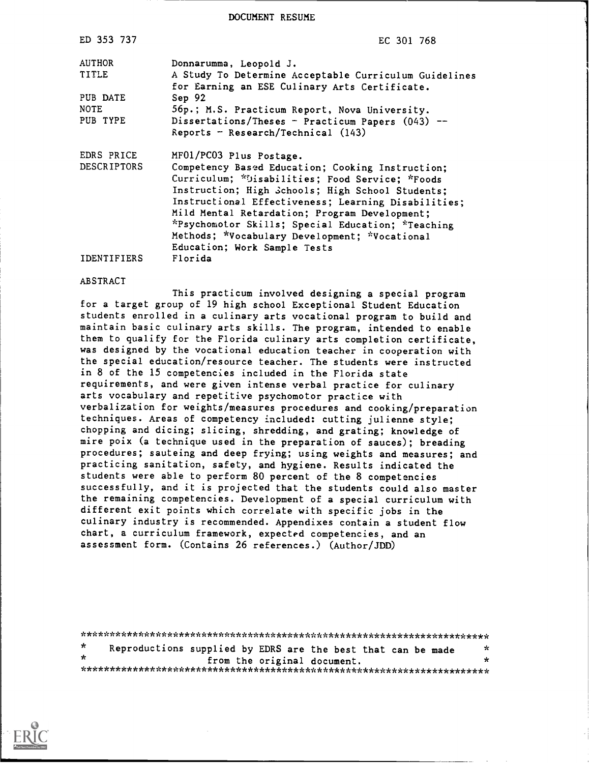DOCUMENT RESUME

| ED 353 737         | EC 301 768                                                                                             |
|--------------------|--------------------------------------------------------------------------------------------------------|
| AUTHOR             | Donnarumma, Leopold J.                                                                                 |
| TITLE              | A Study To Determine Acceptable Curriculum Guidelines<br>for Earning an ESE Culinary Arts Certificate. |
| PUB DATE           | Sep 92                                                                                                 |
| <b>NOTE</b>        | 56p.; M.S. Practicum Report, Nova University.                                                          |
| PUB TYPE           | Dissertations/Theses - Practicum Papers $(043)$ --                                                     |
|                    | Reports - Research/Technical $(143)$                                                                   |
| EDRS PRICE         | MF01/PC03 Plus Postage.                                                                                |
| <b>DESCRIPTORS</b> | Competency Based Education; Cooking Instruction;                                                       |
|                    | Curriculum; *Disabilities; Food Service; *Foods                                                        |
|                    | Instruction; High Schools; High School Students;                                                       |
|                    | Instructional Effectiveness; Learning Disabilities;                                                    |
|                    | Mild Mental Retardation; Program Development;                                                          |
|                    | *Psychomotor Skills; Special Education; *Teaching                                                      |
|                    | Methods; *Vocabulary Development; *Vocational                                                          |
|                    | Education; Work Sample Tests                                                                           |
| <b>IDENTIFIERS</b> | Florida                                                                                                |

#### ABSTRACT

This practicum involved designing a special program for a target group of 19 high school Exceptional Student Education students enrolled in a culinary arts vocational program to build and maintain basic culinary arts skills. The program, intended to enable them to qualify for the Florida culinary arts completion certificate, was designed by the vocational education teacher in cooperation with the special education/resource teacher. The students were instructed in 8 of the 15 competencies included in the Florida state requirements, and were given intense verbal practice for culinary arts vocabulary and repetitive psychomotor practice with verbalization for weights/measures procedures and cooking/preparation techniques. Areas of competency included: cutting julienne style; chopping and dicing; slicing, shredding, and grating; knowledge of mire poix (a technique used in the preparation of sauces); breading procedures; sauteing and deep frying; using weights and measures; and practicing sanitation, safety, and hygiene. Results indicated the students were able to perform 80 percent of the 8 competencies successfully, and it is projected that the students could also master the remaining competencies. Development of a special curriculum with different exit points which correlate with specific jobs in the culinary industry is recommended. Appendixes contain a student flow chart, a curriculum framework, expected competencies, and an assessment form. (Contains 26 references.) (Author/JDD)

| *       | Reproductions supplied by EDRS are the best that can be made |                             |  | Y. |  |
|---------|--------------------------------------------------------------|-----------------------------|--|----|--|
| $\star$ |                                                              | from the original document. |  | ×  |  |
|         |                                                              |                             |  |    |  |

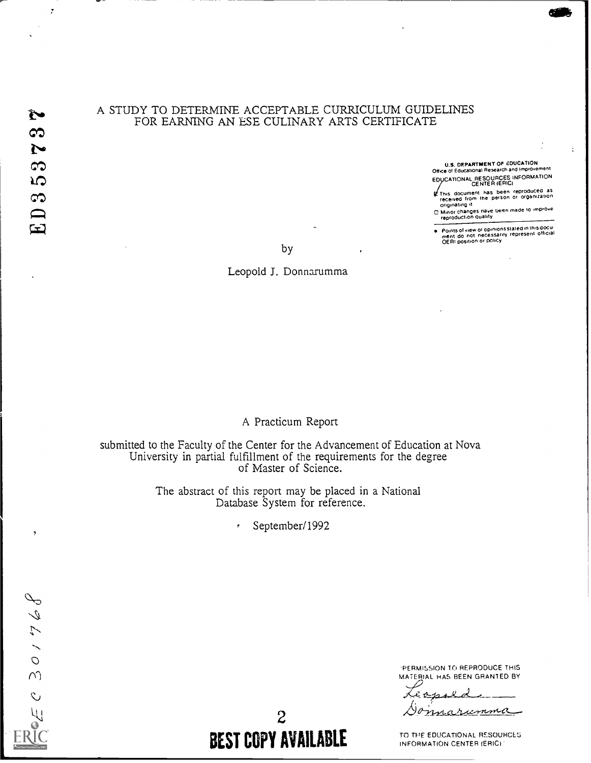$\ddot{\phantom{0}}$ 

## A STUDY TO DETERMINE ACCEPTABLE CURRICULUM GUIDELINES FOR EARNING AN ESE CULINARY ARTS CERTIFICATE

U.S. DEPARTMENT OF EDUCATION Office of Educational Research and improvement EDUCATIONAL RESOURCES INFORMATION

 $\mathbf{r}$ 

The document has been reproduced as received I rom the person Or organization Originating A

C Minor changes have been made to improve reoroduCt.on Quality

Points of view or opinions stated in this docu-<br>ment: do: not: necessarily: represent: official<br>OERI position or policy

by

Leopold J. Donnarumma

## A Practicum Report

submitted to the Faculty of the Center for the Advancement of Education at Nova University in partial fulfillment of the requirements for the degree of Master of Science.

> The abstract of this report may be placed in a National Database System for reference.

> > September/1992  $\sigma$



'PERMISSION TO REPRODUCE THIS MATERIAL HAS BEEN GRANTED BY

Σ marumma 0

TO THE EDUCATIONAL RESOURCES INFORMATION CENTER (ERICI

2 BEST COPY AVAILABLE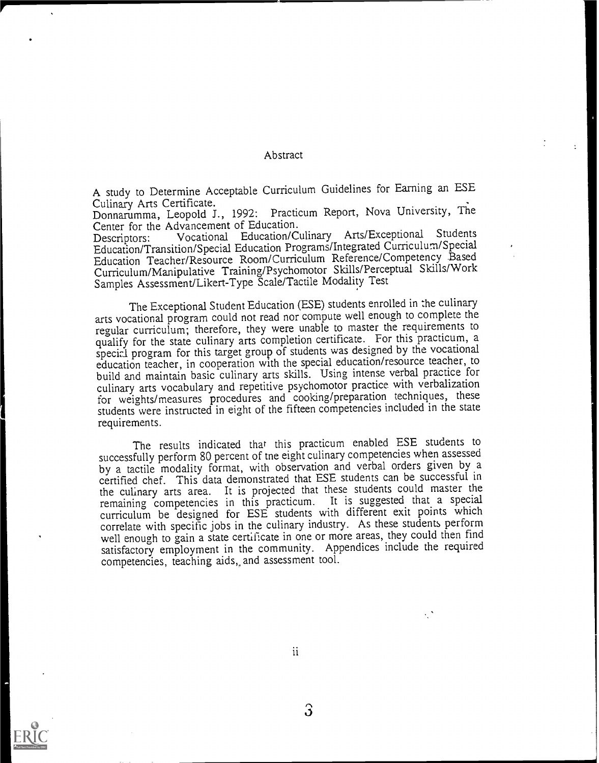#### Abstract

A study to Determine Acceptable Curriculum Guidelines for Earning an ESE<br>Culinary Arts Certificate.

Donnarumma, Leopold J., 1992: Practicum Report, Nova University, The Center for the Advancement of Education.

Descriptors: Vocational Education/Culinary Arts/Exceptional Students Education/Transition/Special Education Programs/Integrated Curriculum/Special Education Teacher/Resource Room/Curriculum Reference/Competency Based Curriculum/Manipulative Training/Psychomotor Skills/Perceptual Skills/Work Samples Assessment/Likert-Type Scale/Tactile Modality Test

The Exceptional Student Education (ESE) students enrolled in the culinary arts vocational program could not read nor compute well enough to complete the regular curriculum; therefore, they were unable to master the requirements to qualify for the state culinary arts completion certificate. For this practicum, a special program for this target group of students was designed by the vocational education teacher, in cooperation with the special education/resource teacher, to build and maintain basic culinary arts skills. Using intense verbal practice for culinary arts vocabulary and repetitive psychomotor practice with verbalization for weights/measures procedures and cooking/preparation techniques, these students were instructed in eight of the fifteen competencies included in the state requirements.

The results indicated that this practicum enabled ESE students to successfully perform 80 percent of me eight culinary competencies when assessed by a tactile modality format, with observation and verbal orders given by a certified chef. This data demonstrated that ESE students can be successful in the culinary arts area. It is projected that these students could master the remaining competencies in this practicum. It is suggested that a special curriculum be designed for ESE students with different exit points which correlate with specific jobs in the culinary industry. As these students perform well enough to gain a state certificate in one or more areas, they could then find satisfactory employment in the community. Appendices include the required competencies, teaching aids,, and assessment tool.



ii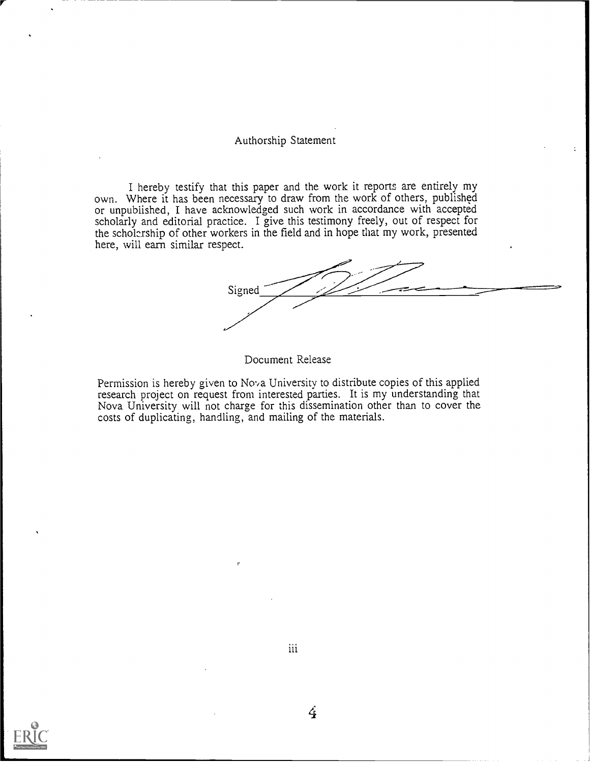#### Authorship Statement

I hereby testify that this paper and the work it reports are entirely my own. Where it has been necessary to draw from the work of others, published or unpublished, I have acknowledged such work in accordance with accepted scholarly and editorial practice. I give this testimony freely, out of respect for the scholarship of other workers in the field and in hope that my work, presented here, will earn similar respect.

Signed

Document Release

Permission is hereby given to Nova University to distribute copies of this applied research project on request from interested parties. It is my understanding that Nova University will not charge for this dissemination other than to cover the costs of duplicating, handling, and mailing of the materials.



iii

 $\boldsymbol{4}$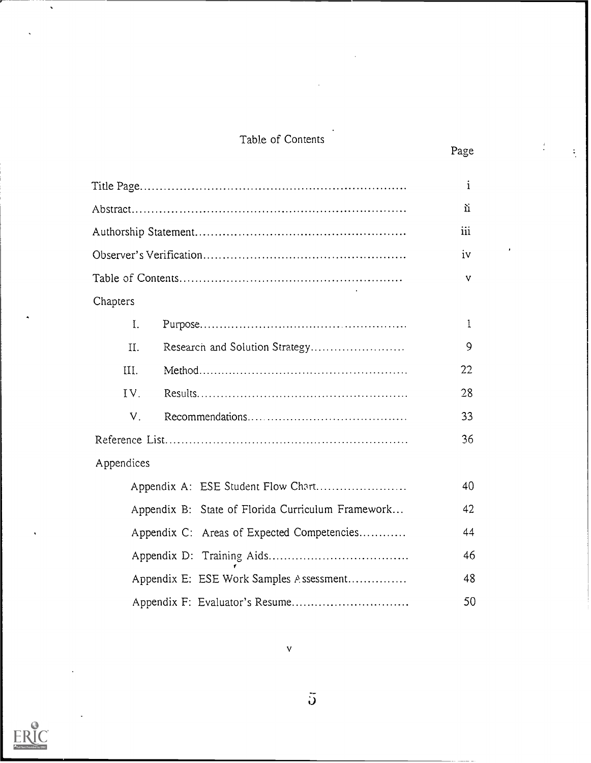# Table of Contents

 $\frac{1}{2}$ 

|                                                   | $\mathbf{i}$ |
|---------------------------------------------------|--------------|
|                                                   | ù            |
|                                                   | iii          |
|                                                   | iv           |
|                                                   | v            |
| Chapters                                          |              |
| L.                                                | 1            |
| II.                                               | 9            |
| III.                                              | 22           |
| IV.                                               | 28           |
| V.                                                | 33           |
|                                                   | 36           |
| Appendices                                        |              |
|                                                   | 40           |
| Appendix B: State of Florida Curriculum Framework | 42           |
| Appendix C: Areas of Expected Competencies        | 44           |
|                                                   | 46           |
| Appendix E: ESE Work Samples Assessment           | 48           |
|                                                   | 50           |



 $\ddot{\rm{J}}$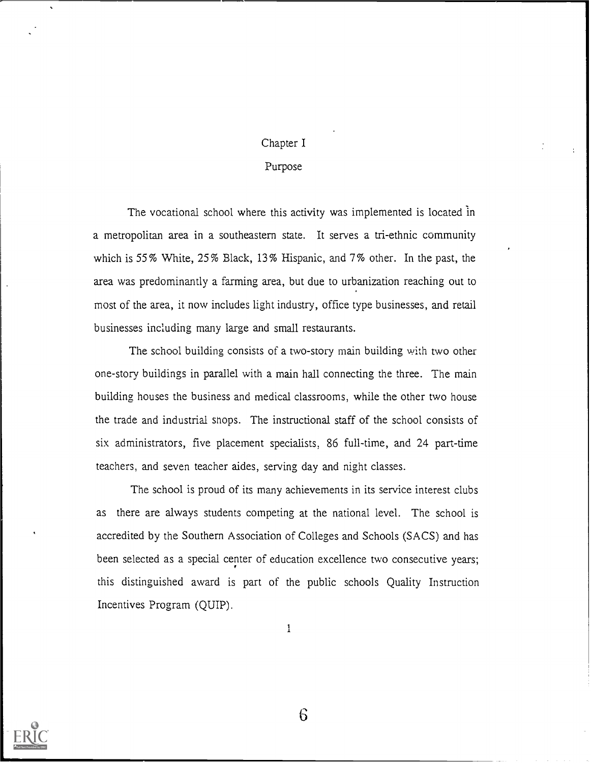# Chapter I

## Purpose

The vocational school where this activity was implemented is located in a metropolitan area in a southeastern state. It serves a tri-ethnic community which is 55% White, 25% Black, 13% Hispanic, and 7% other. In the past, the area was predominantly a farming area, but due to urbanization reaching out to most of the area, it now includes light industry, office type businesses, and retail businesses including many large and small restaurants.

The school building consists of a two-story main building with two other one-story buildings in parallel with a main hall connecting the three. The main building houses the business and medical classrooms, while the other two house the trade and industrial shops. The instructional staff of the school consists of six administrators, five placement specialists, 86 full-time, and 24 part-time teachers, and seven teacher aides, serving day and night classes.

The school is proud of its many achievements in its service interest clubs as there are always students competing at the national level. The school is accredited by the Southern Association of Colleges and Schools (SACS) and has been selected as a special center of education excellence two consecutive years; this distinguished award is part of the public schools Quality Instruction Incentives Program (QUIP).

 $\mathbf 1$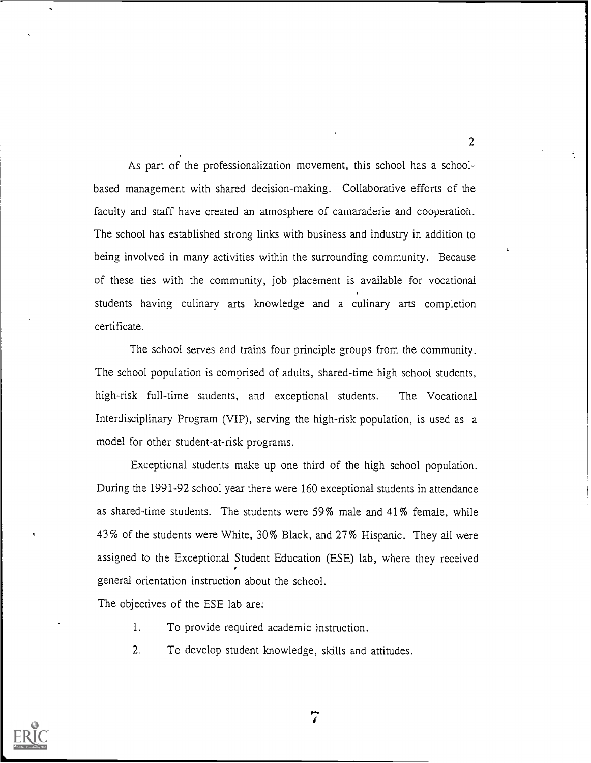As part of the professionalization movement, this school has a schoolbased management with shared decision-making. Collaborative efforts of the faculty and staff have created an atmosphere of camaraderie and cooperation. The school has established strong links with business and industry in addition to being involved in many activities within the surrounding community. Because of these ties with the community, job placement is available for vocational students having culinary arts knowledge and a culinary arts completion certificate.

The school serves and trains four principle groups from the community. The school population is comprised of adults, shared-time high school students, high-risk full-time students, and exceptional students. The Vocational Interdisciplinary Program (VIP), serving the high-risk population, is used as a model for other student-at-risk programs.

Exceptional students make up one third of the high school population. During the 1991-92 school year there were 160 exceptional students in attendance as shared-time students. The students were 59% male and 41% female, while 43% of the students were White, 30% Black, and 27% Hispanic. They all were assigned to the Exceptional Student Education (ESE) lab, where they received general orientation instruction about the school.

The objectives of the ESE lab are:

- 1. To provide required academic instruction.
- 2. To develop student knowledge, skills and attitudes.

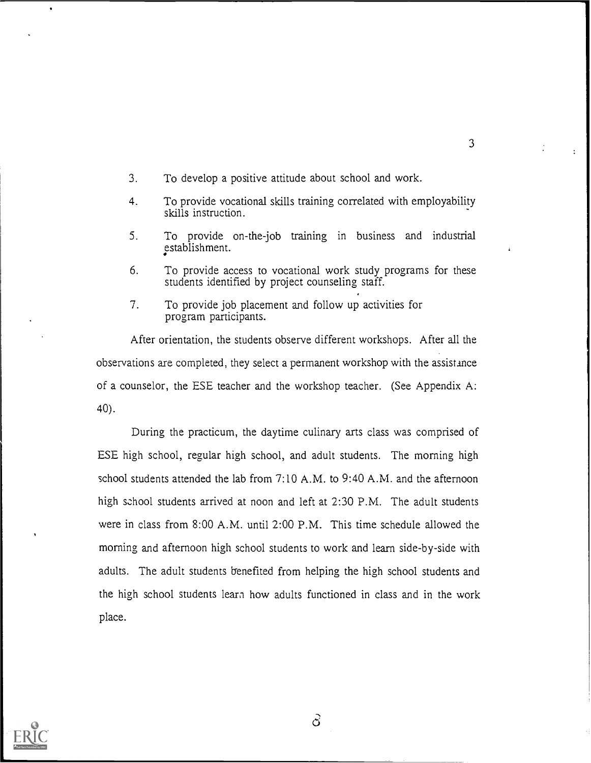- 3. To develop a positive attitude about school and work.
- 4. To provide vocational skills training correlated with employability skills instruction.
- 5. To provide on-the-job training in business and industrial establishment.
- 6. To provide access to vocational work study programs for these students identified by project counseling staff.
- 7. To provide job placement and follow up activities for program participants.

After orientation, the students observe different workshops. After all the observations are completed, they select a permanent workshop with the assistance of a counselor, the ESE teacher and the workshop teacher. (See Appendix A: 40).

During the practicum, the daytime culinary arts class was comprised of ESE high school, regular high school, and adult students. The morning high school students attended the lab from 7:10 A.M. to 9:40 A.M. and the afternoon high school students arrived at noon and left at 2:30 P.M. The adult students were in class from 8:00 A.M. until 2:00 P.M. This time schedule allowed the morning and afternoon high school students to work and learn side-by-side with adults. The adult students benefited from helping the high school students and the high school students learn how adults functioned in class and in the work place.

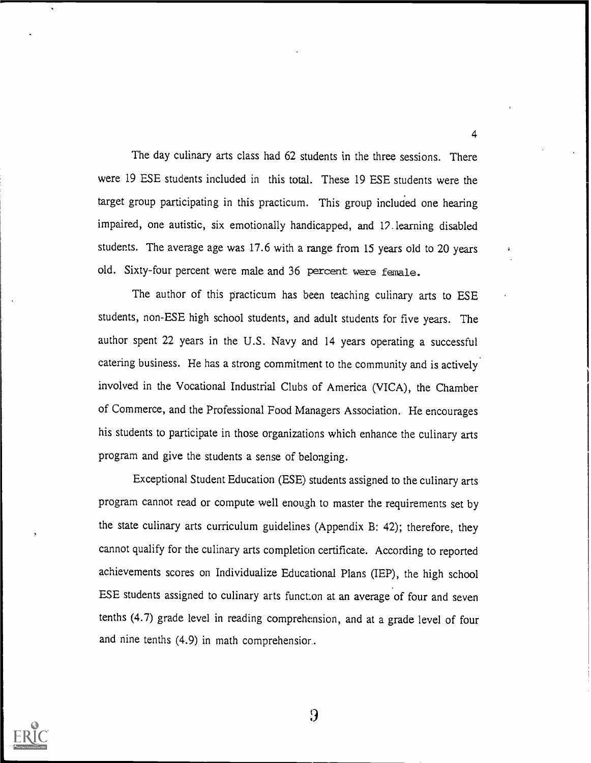The day culinary arts class had 62 students in the three sessions. There were 19 ESE students included in this total. These 19 ESE students were the target group participating in this practicum. This group included one hearing impaired, one autistic, six emotionally handicapped, and 12 learning disabled students. The average age was 17.6 with a range from 15 years old to 20 years old. Sixty-four percent were male and 36 percent were female.

4

The author of this practicum has been teaching culinary arts to ESE students, non-ESE high school students, and adult students for five years. The author spent 22 years in the U.S. Navy and 14 years operating a successful catering business. He has a strong commitment to the community and is actively involved in the Vocational Industrial Clubs of America (VICA), the Chamber of Commerce, and the Professional Food Managers Association. He encourages his students to participate in those organizations which enhance the culinary arts program and give the students a sense of belonging.

Exceptional Student Education (ESE) students assigned to the culinary arts program cannot read or compute well enough to master the requirements set by the state culinary arts curriculum guidelines (Appendix B: 42); therefore, they cannot qualify for the culinary arts completion certificate. According to reported achievements scores on Individualize Educational Plans (IEP), the high school ESE students assigned to culinary arts function at an average of four and seven tenths (4.7) grade level in reading comprehension, and at a grade level of four and nine tenths (4.9) in math comprehensior..

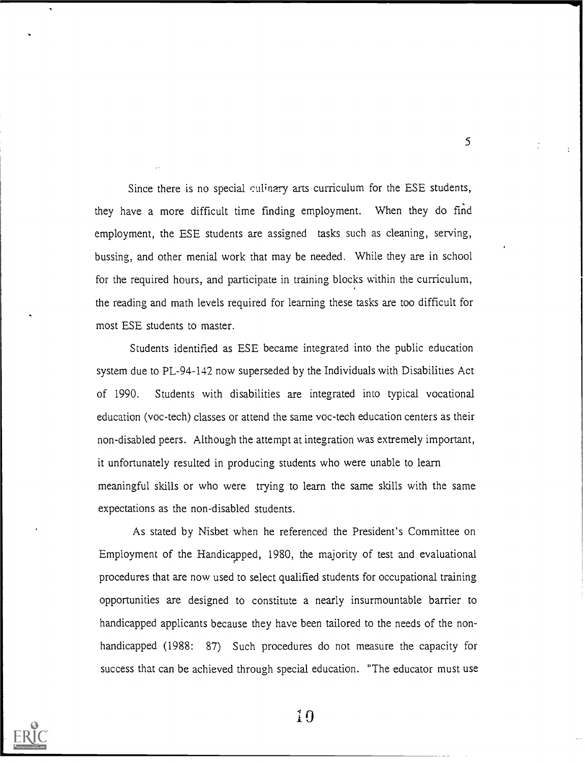Since there is no special culinary arts curriculum for the ESE students, they have a more difficult time finding employment. When they do find employment, the ESE students are assigned tasks such as cleaning, serving, bussing, and other menial work that may be needed. While they are in school for the required hours, and participate in training blocks within the curriculum, the reading and math levels required for learning these tasks are too difficult for most ESE students to master.

5

Students identified as ESE became integrated into the public education system due to PL-94-142 now superseded by the Individuals with Disabilities Act of 1990. Students with disabilities are integrated into typical vocational education (voc-tech) classes or attend the same voc-tech education centers as their non-disabled peers. Although the attempt at integration was extremely important, it unfortunately resulted in producing students who were unable to learn meaningful skills or who were trying to learn the same skills with the same expectations as the non-disabled students.

As stated by Nisbet when he referenced the President's Committee on Employment of the Handicapped, 1980, the majority of test and evaluational procedures that are now used to select qualified students for occupational training opportunities are designed to constitute a nearly insurmountable barrier to handicapped applicants because they have been tailored to the needs of the nonhandicapped (1988: 87) Such procedures do not measure the capacity for success that can be achieved through special education. "The educator must use

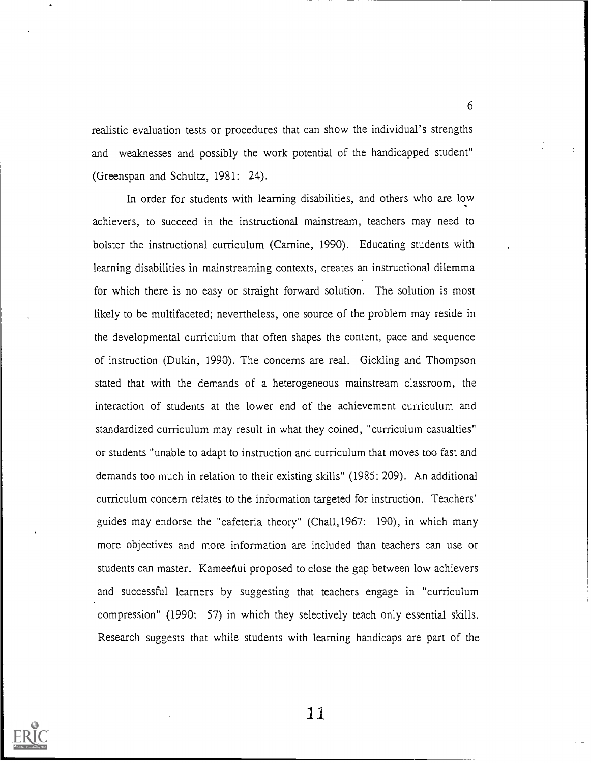realistic evaluation tests or procedures that can show the individual's strengths and weaknesses and possibly the work potential of the handicapped student" (Greenspan and Schultz, 1981: 24).

In order for students with learning disabilities, and others who are low achievers, to succeed in the instructional mainstream, teachers may need to bolster the instructional curriculum (Carnine, 1990). Educating students with learning disabilities in mainstreaming contexts, creates an instructional dilemma for which there is no easy or straight forward solution. The solution is most likely to be multifaceted; nevertheless, one source of the problem may reside in the developmental curriculum that often shapes the content, pace and sequence of instruction (Dukin, 1990). The concerns are real. Gickling and Thompson stated that with the demands of a heterogeneous mainstream classroom, the interaction of students at the lower end of the achievement curriculum and standardized curriculum may result in what they coined, "curriculum casualties" or students "unable to adapt to instruction and curriculum that moves too fast and demands too much in relation to their existing skills" (1985: 209). An additional curriculum concern relates to the information targeted for instruction. Teachers' guides may endorse the "cafeteria theory" (Chal1,1967: 190), in which many more objectives and more information are included than teachers can use or students can master. Kameenui proposed to close the gap between low achievers and successful learners by suggesting that teachers engage in "curriculum compression" (1990: 57) in which they selectively teach only essential skills. Research suggests that while students with learning handicaps are part of the



11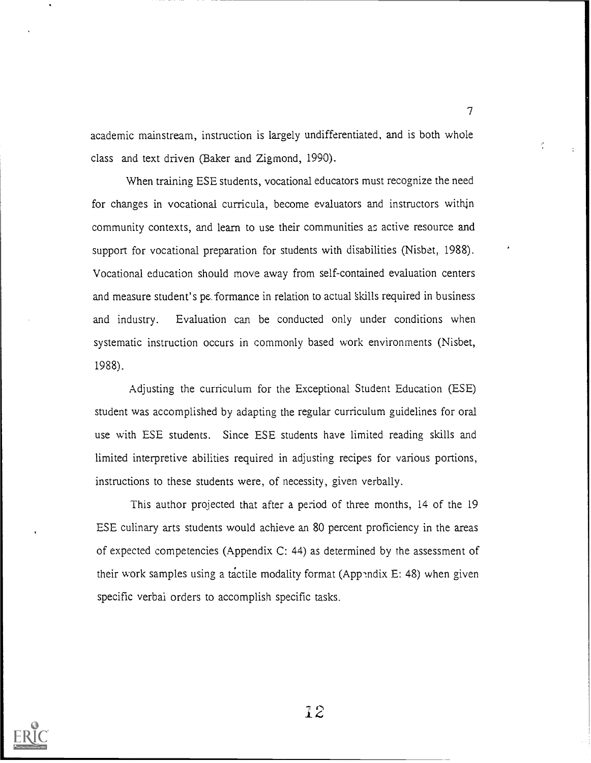academic mainstream, instruction is largely undifferentiated, and is both whole class and text driven (Baker and Zigmond, 1990).

When training ESE students, vocational educators must recognize the need for changes in vocational curricula, become evaluators and instructors within community contexts, and learn to use their communities as active resource and support for vocational preparation for students with disabilities (Nisbet, 1988). Vocational education should move away from self-contained evaluation centers and measure student's pe.formance in relation to actual 'skills required in business and industry. Evaluation can be conducted only under conditions when systematic instruction occurs in commonly based work environments (Nisbet, 1988).

Adjusting, the curriculum for the Exceptional Student Education (ESE) student was accomplished by adapting the regular curriculum guidelines for oral use with ESE students. Since ESE students have limited reading skills and limited interpretive abilities required in adjusting recipes for various portions, instructions to these students were, of necessity, given verbally.

This author projected that after a period of three months, 14 of the 19 ESE culinary arts students would achieve an 80 percent proficiency in the areas of expected competencies (Appendix C: 44) as determined by the assessment of their work samples using a tactile modality format (Appendix E: 48) when given specific verbal orders to accomplish specific tasks.



12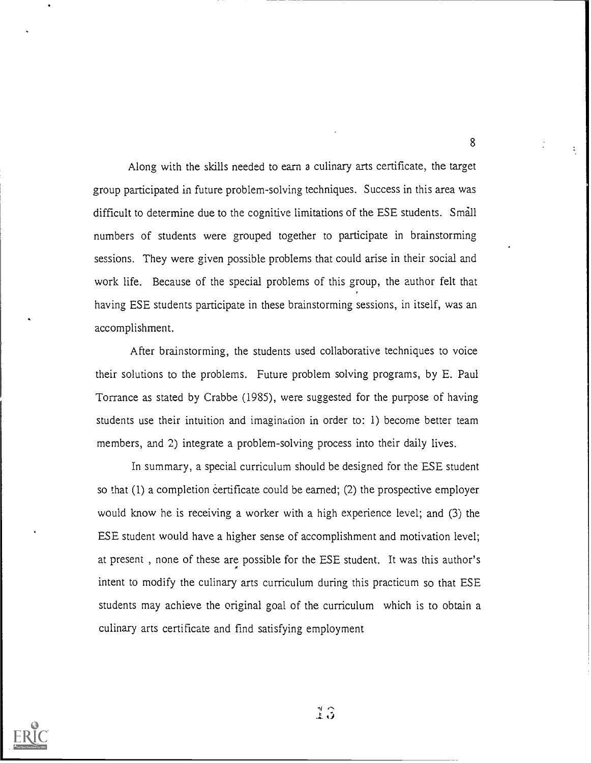Along with the skills needed to earn a culinary arts certificate, the target group participated in future problem-solving techniques. Success in this area was difficult to determine due to the cognitive limitations of the ESE students. Small numbers of students were grouped together to participate in brainstorming sessions. They were given possible problems that could arise in their social and work life. Because of the special problems of this group, the author felt that having ESE students participate in these brainstorming sessions, in itself, was an accomplishment.

After brainstorming, the students used collaborative techniques to voice their solutions to the problems. Future problem solving programs, by E. Paul Torrance as stated by Crabbe (1985), were suggested for the purpose of having students use their intuition and imagination in order to: 1) become better team members, and 2) integrate a problem-solving process into their daily lives.

In summary, a special curriculum should be designed for the ESE student so that (1) a completion certificate could be earned; (2) the prospective employer would know he is receiving a worker with a high experience level; and (3) the ESE student would have a higher sense of accomplishment and motivation level; at present , none of these are possible for the ESE student. It was this author's intent to modify the culinary arts curriculum during this practicum so that ESE students may achieve the original goal of the curriculum which is to obtain a culinary arts certificate and find satisfying employment



 $13$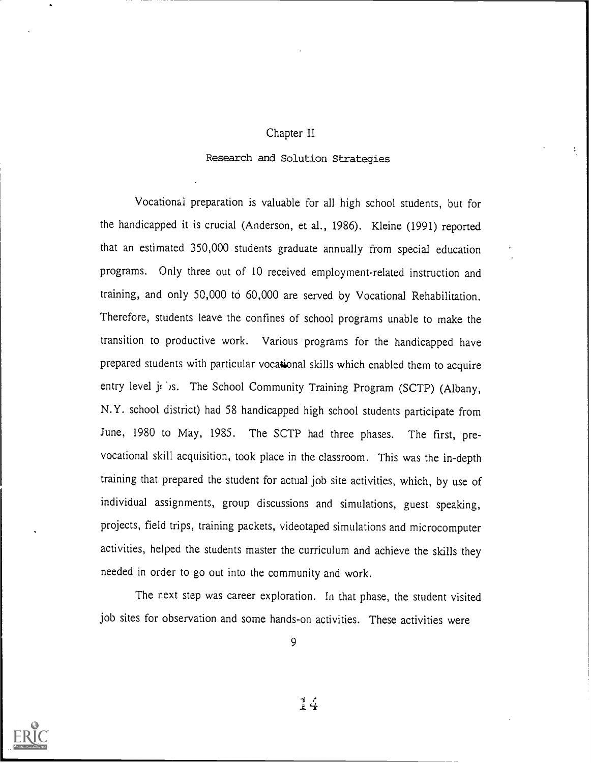## Chapter II

### Research and Solution Strategies

Vocational preparation is valuable for all high school students, but for the handicapped it is crucial (Anderson, et al., 1986). Kleine (1991) reported that an estimated 350,000 students graduate annually from special education programs. Only three out of 10 received employment-related instruction and training, and only 50,000 to 60,000 are served by Vocational Rehabilitation. Therefore, students leave the confines of school programs unable to make the transition to productive work. Various programs for the handicapped have prepared students with particular vocational skills which enabled them to acquire entry level joins. The School Community Training Program (SCTP) (Albany, N.Y. school district) had 58 handicapped high school students participate from June, 1980 to May, 1985. The SCTP had three phases. The first, prevocational skill acquisition, took place in the classroom. This was the in-depth training that prepared the student for actual job site activities, which, by use of individual assignments, group discussions and simulations, guest speaking, projects, field trips, training packets, videotaped simulations and microcomputer activities, helped the students master the curriculum and achieve the skills they needed in order to go out into the community and work.

The next step was career exploration. In that phase, the student visited job sites for observation and some hands-on activities. These activities were



9

 $\frac{7}{8}$   $\frac{7}{4}$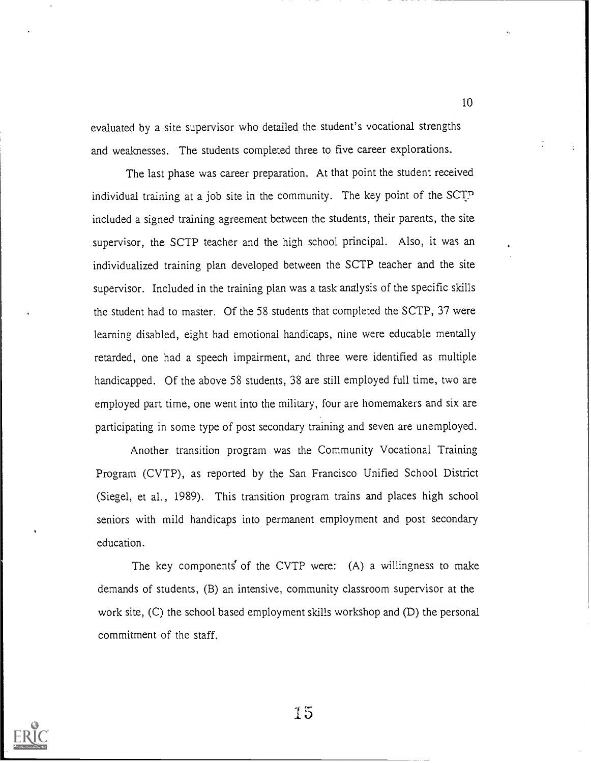evaluated by a site supervisor who detailed the student's vocational strengths and weaknesses. The students completed three to five career explorations.

The last phase was career preparation. At that point the student received individual training at a job site in the community. The key point of the SCTP included a signed training agreement between the students, their parents, the site supervisor, the SCTP teacher and the high school principal. Also, it was an individualized training plan developed between the SCTP teacher and the site supervisor. Included in the training plan was a task analysis of the specific skills the student had to master. Of the 58 students that completed the SCTP, 37 were learning disabled, eight had emotional handicaps, nine were educable mentally retarded, one had a speech impairment, and three were identified as multiple handicapped. Of the above 58 students, 38 are still employed full time, two are employed part time, one went into the military, four are homemakers and six are participating in some type of post secondary training and seven are unemployed.

Another transition program was the Community Vocational Training Program (CVTP), as reported by the San Francisco Unified School District (Siegel, et al., 1989). This transition program trains and places high school seniors with mild handicaps into permanent employment and post secondary education.

The key components of the CVTP were:  $(A)$  a willingness to make demands of students, (B) an intensive, community classroom supervisor at the work site, (C) the school based employment skills workshop and (D) the personal commitment of the staff.



5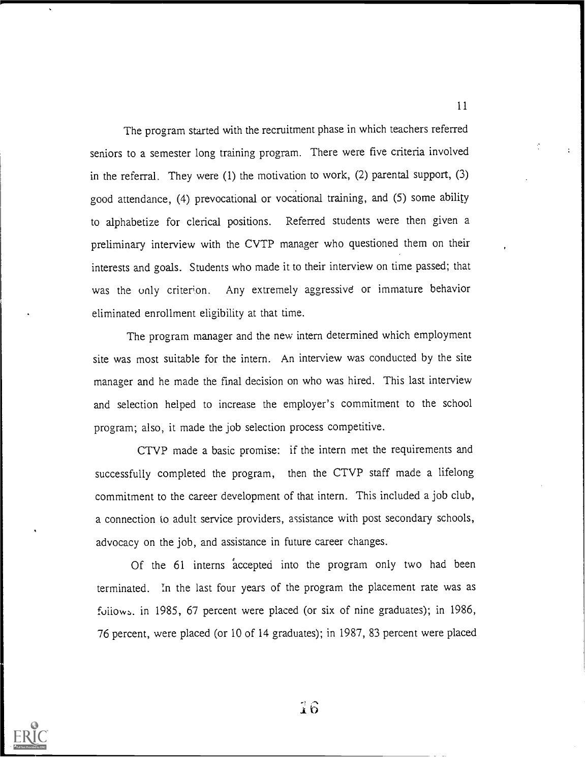The program started with the recruitment phase in which teachers referred seniors to a semester long training program. There were five criteria involved in the referral. They were (1) the motivation to work, (2) parental support, (3) good attendance, (4) prevocational or vocational training, and (5) some ability to alphabetize for clerical positions. Referred students were then given a preliminary interview with the CVTP manager who questioned them on their interests and goals. Students who made it to their interview on time passed; that was the only criterion. Any extremely aggressive or immature behavior eliminated enrollment eligibility at that time.

The program manager and the new intern determined which employment site was most suitable for the intern. An interview was conducted by the site manager and he made the final decision on who was hired. This last interview and selection helped to increase the employer's commitment to the school program; also, it made the job selection process competitive.

CTVP made a basic promise: if the intern met the requirements and successfully completed the program, then the CTVP staff made a lifelong commitment to the career development of that intern. This included a job club, a connection to adult service providers, assistance with post secondary schools, advocacy on the job, and assistance in future career changes.

Of the 61 interns accepted into the program only two had been terminated. In the last four years of the program the placement rate was as follows. in 1985, 67 percent were placed (or six of nine graduates); in 1986, 76 percent, were placed (or 10 of 14 graduates); in 1987, 83 percent were placed



 $\hat{1}\hat{6}$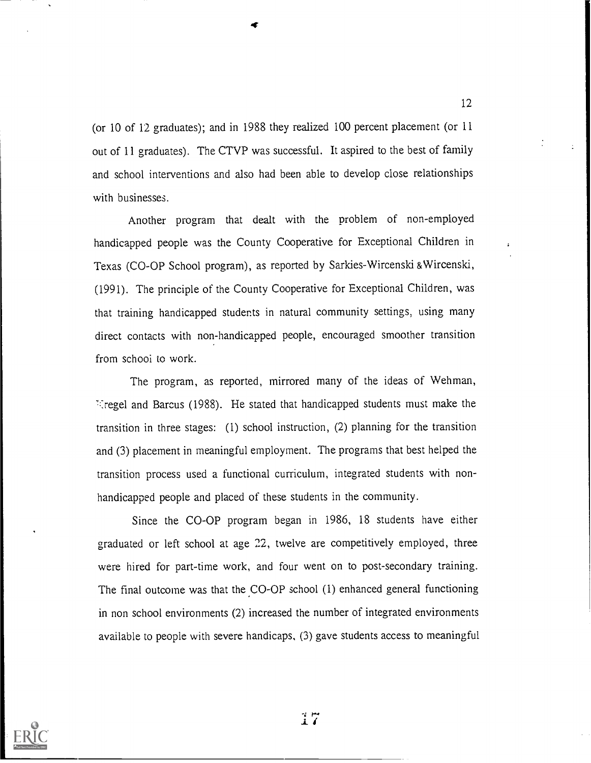(or 10 of 12 graduates); and in 1988 they realized 100 percent placement (or 11 out of 11 graduates). The CTVP was successful. It aspired to the best of family and school interventions and also had been able to develop close relationships with businesses.

Another program that dealt with the problem of non-employed handicapped people was the County Cooperative for Exceptional Children in Texas (CO-OP School program), as reported by Sarkies- Wircenski &Wircenski, (1991). The principle of the County Cooperative for Exceptional Children, was that training handicapped students in natural community settings, using many direct contacts with non-handicapped people, encouraged smoother transition from school to work.

The program, as reported, mirrored many of the ideas of Wehman, thregel and Barcus (1988). He stated that handicapped students must make the transition in three stages: (I) school instruction, (2) planning for the transition and (3) placement in meaningful employment. The programs that best helped the transition process used a functional curriculum, integrated students with nonhandicapped people and placed of these students in the community.

Since the CO-OP program began in 1986, 18 students have either graduated or left school at age 22, twelve are competitively employed, three were hired for part-time work, and four went on to post-secondary training. The final outcome was that the CO-OP school (1) enhanced general functioning in non school environments (2) increased the number of integrated environments available to people with severe handicaps, (3) gave students access to meaningful



17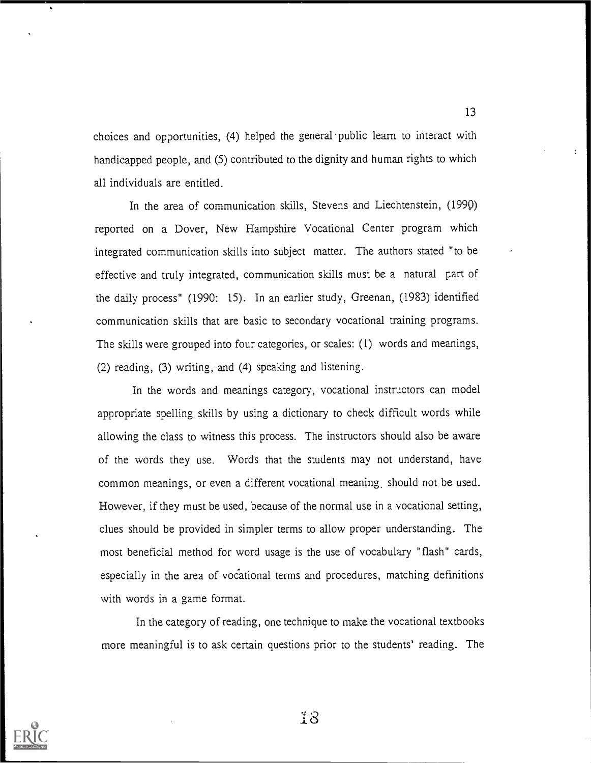choices and opportunities, (4) helped the general public learn to interact with handicapped people, and (5) contributed to the dignity and human rights to which all individuals are entitled.

In the area of communication skills, Stevens and Liechtenstein, (199Q) reported on a Dover, New Hampshire Vocational Center program which integrated communication skills into subject matter. The authors stated "to be effective and truly integrated, communication skills must be a natural part of the daily process" (1990: 15). In an earlier study, Greenan, (1983) identified communication skills that are basic to secondary vocational training programs. The skills were grouped into four categories, or scales: (1) words and meanings, (2) reading, (3) writing, and (4) speaking and listening.

In the words and meanings category, vocational instructors can model appropriate spelling skills by using a dictionary to check difficult words while allowing the class to witness this process. The instructors should also be aware of the words they use. Words that the students may not understand, have common meanings, or even a different vocational meaning, should not be used. However, if they must be used, because of the normal use in a vocational setting, clues should be provided in simpler terms to allow proper understanding. The most beneficial method for word usage is the use of vocabulary "flash" cards, especially in the area of vocational terms and procedures, matching definitions with words in a game format.

In the category of reading, one technique to make the vocational textbooks more meaningful is to ask certain questions prior to the students' reading. The



-1 8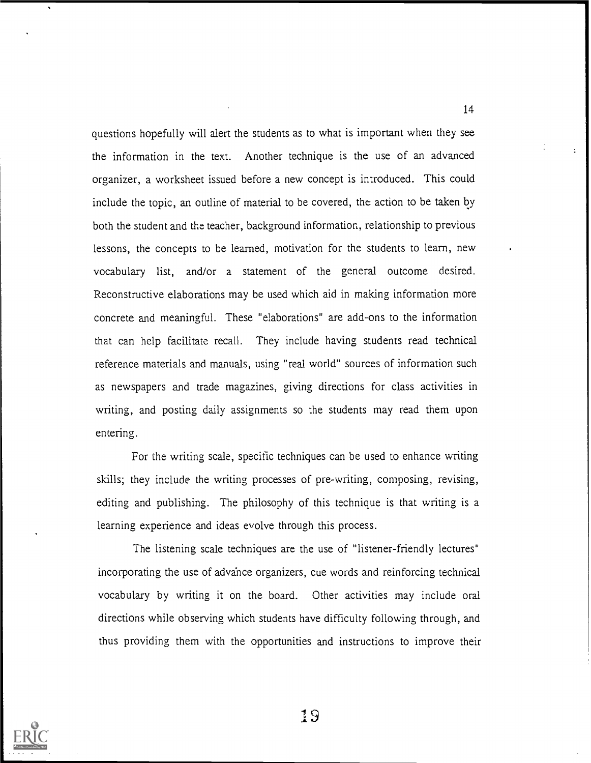questions hopefully will alert the students as to what is important when they see the information in the text. Another technique is the use of an advanced organizer, a worksheet issued before a new concept is introduced. This could include the topic, an outline of material to be covered, the action to be taken by both the student and the teacher, background information, relationship to previous lessons, the concepts to be learned, motivation for the students to learn, new vocabulary list, and/or a statement of the general outcome desired. Reconstructive elaborations may be used which aid in making information more concrete and meaningful. These "elaborations" are add-ons to the information that can help facilitate recall. They include having students read technical reference materials and manuals, using "real world" sources of information such as newspapers and trade magazines, giving directions for class activities in writing, and posting daily assignments so the students may read them upon entering.

For the writing scale, specific techniques can be used to enhance writing skills; they include the writing processes of pre-writing, composing, revising, editing and publishing. The philosophy of this technique is that writing is a learning experience and ideas evolve through this process.

The listening scale techniques are the use of "listener-friendly lectures" incorporating the use of advahce organizers, cue words and reinforcing technical vocabulary by writing it on the board. Other activities may include oral directions while observing which students have difficulty following through, and thus providing them with the opportunities and instructions to improve their



14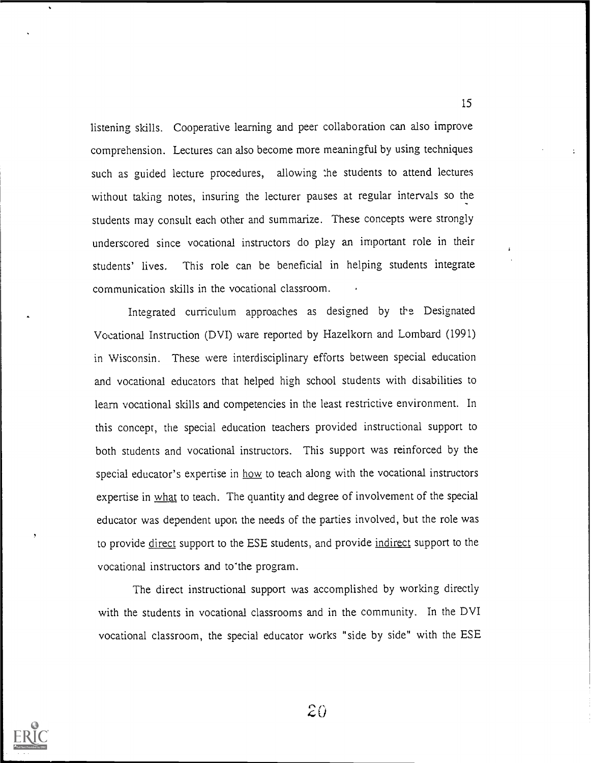listening skills. Cooperative learning and peer collaboration can also improve comprehension. Lectures can also become more meaningful by using techniques such as guided lecture procedures, allowing the students to attend lectures without taking notes, insuring the lecturer pauses at regular intervals so the students may consult each other and summarize. These concepts were strongly underscored since vocational instructors do play an important role in their students' lives. This role can be beneficial in helping students integrate communication skills in the vocational classroom.

Integrated curriculum approaches as designed by the Designated Vocational Instruction (DVI) ware reported by Hazelkorn and Lombard (1991) in Wisconsin. These were interdisciplinary efforts between special education and vocational educators that helped high school students with disabilities to learn vocational skills and competencies in the least restrictive environment. In this concept, the special education teachers provided instructional support to both students and vocational instructors. This support was reinforced by the special educator's expertise in how to teach along with the vocational instructors expertise in what to teach. The quantity and degree of involvement of the special educator was dependent upon the needs of the parties involved, but the role was to provide direct support to the ESE students, and provide indirect support to the vocational instructors and to the program.

The direct instructional support was accomplished by working directly with the students in vocational classrooms and in the community. In the DVI vocational classroom, the special educator works "side by side" with the ESE



 $20$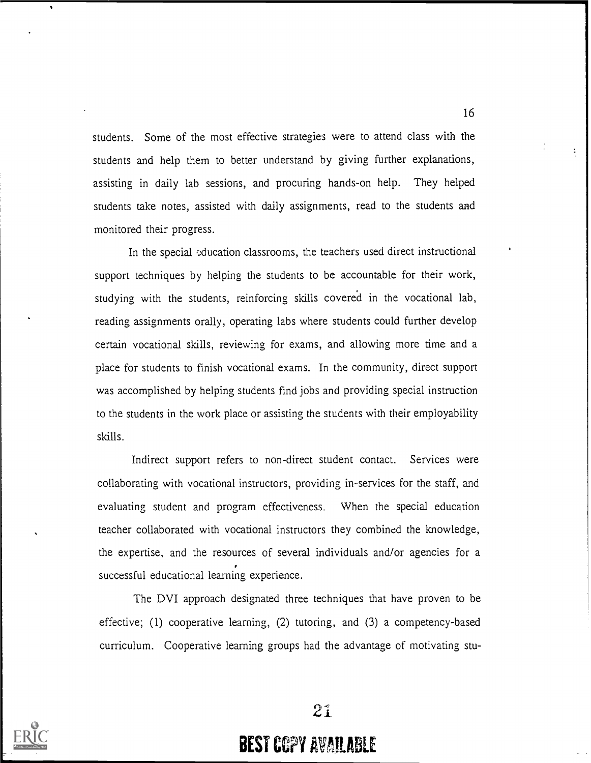students. Some of the most effective strategies were to attend class with the students and help them to better understand by giving further explanations, assisting in daily lab sessions, and procuring hands-on help. They helped students take notes, assisted with daily assignments, read to the students and monitored their progress.

In the special education classrooms, the teachers used direct instructional support techniques by helping the students to be accountable for their work, studying with the students, reinforcing skills covered in the vocational lab, reading assignments orally, operating labs where students could further develop certain vocational skills, reviewing for exams, and allowing more time and a place for students to finish vocational exams. In the community, direct support was accomplished by helping students find jobs and providing special instruction to the students in the work place or assisting the students with their employability skills.

Indirect support refers to non-direct student contact. Services were collaborating with vocational instructors, providing in-services for the staff, and evaluating student and program effectiveness. When the special education teacher collaborated with vocational instructors they combined the knowledge, the expertise, and the resources of several individuals and/or agencies for a successful educational learning experience.

The DVI approach designated three techniques that have proven to be effective; (1) cooperative learning, (2) tutoring, and (3) a competency-based curriculum. Cooperative learning groups had the advantage of motivating stu-



 $21$ 

# **BEST COPY AVAILABLE**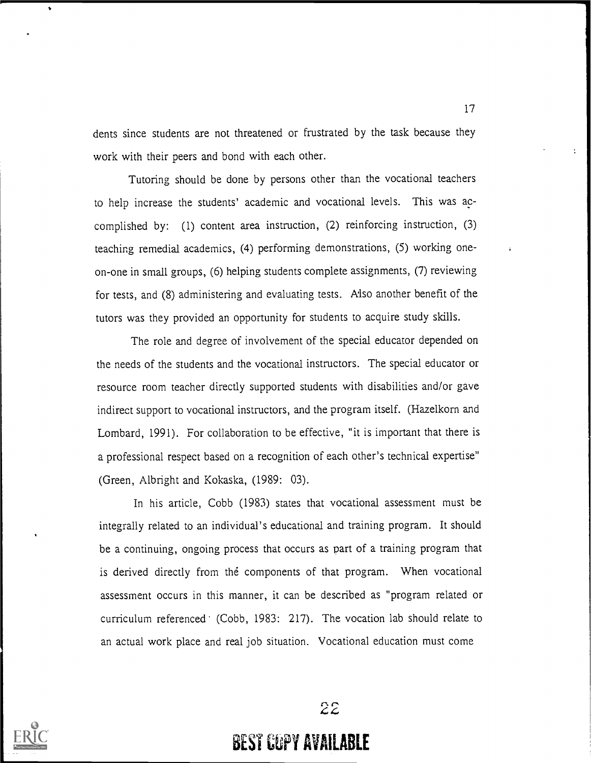dents since students are not threatened or frustrated by the task because they work with their peers and bond with each other.

Tutoring should be done by persons other than the vocational teachers to help increase the students' academic and vocational levels. This was accomplished by: (1) content area instruction, (2) reinforcing instruction, (3) teaching remedial academics, (4) performing demonstrations, (5) working oneon-one in small groups, (6) helping students complete assignments, (7) reviewing for tests, and (8) administering and evaluating tests. Also another benefit of the tutors was they provided an opportunity for students to acquire study skills.

The role and degree of involvement of the special educator depended on the needs of the students and the vocational instructors. The special educator or resource room teacher directly supported students with disabilities and/or gave indirect support to vocational instructors, and the program itself. (Hazelkorn and Lombard, 1991). For collaboration to be effective, "it is important that there is a professional respect based on a recognition of each other's technical expertise" (Green, Albright and Kokaska, (1989: 03).

In his article, Cobb (1983) states that vocational assessment must be integrally related to an individual's educational and training program. It should be a continuing, ongoing process that occurs as part of a training program that is derived directly from the components of that program. When vocational assessment occurs in this manner, it can be described as "program related or curriculum referenced (Cobb, 1983: 217). The vocation lab should relate to an actual work place and real job situation. Vocational education must come



 $22$ 

# **BEST COPY AVAILABLE**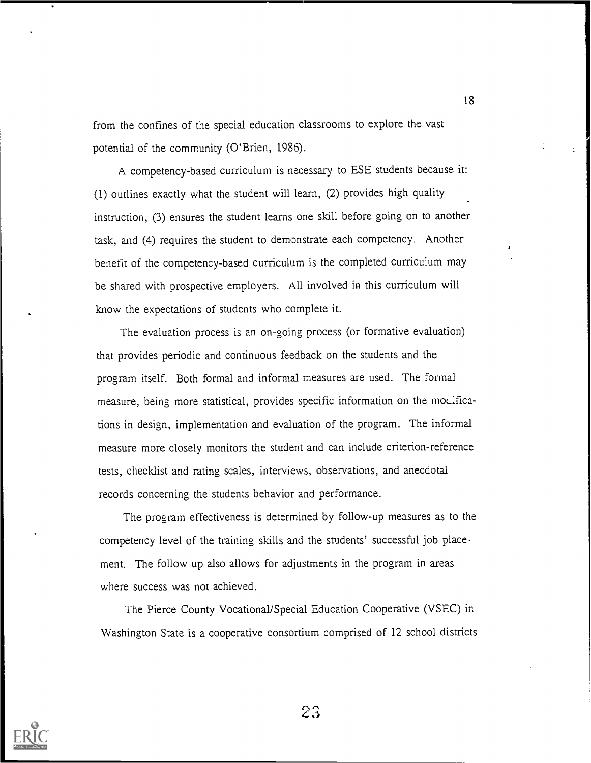from the confines of the special education classrooms to explore the vast potential of the community (O'Brien, 1986).

A competency-based curriculum is necessary to ESE students because it: (1) outlines exactly what the student will learn, (2) provides high quality instruction, (3) ensures the student learns one skill before going on to another task, and (4) requires the student to demonstrate each competency. Another benefit of the competency-based curriculum is the completed curriculum may be shared with prospective employers. All involved in this curriculum will know the expectations of students who complete it.

The evaluation process is an on-going process (or formative evaluation) that provides periodic and continuous feedback on the students and the program itself. Both formal and informal measures are used. The formal measure, being more statistical, provides specific information on the modifications in design, implementation and evaluation of the program. The informal measure more closely monitors the student and can include criterion-reference tests, checklist and rating scales, interviews, observations, and anecdotal records concerning the students behavior and performance.

The program effectiveness is determined by follow-up measures as to the competency level of the training skills and the students' successful job place. ment. The follow up also allows for adjustments in the program in areas where success was not achieved.

The Pierce County Vocational/Special Education Cooperative (VSEC) in Washington State is a cooperative consortium comprised of 12 school districts



 $23$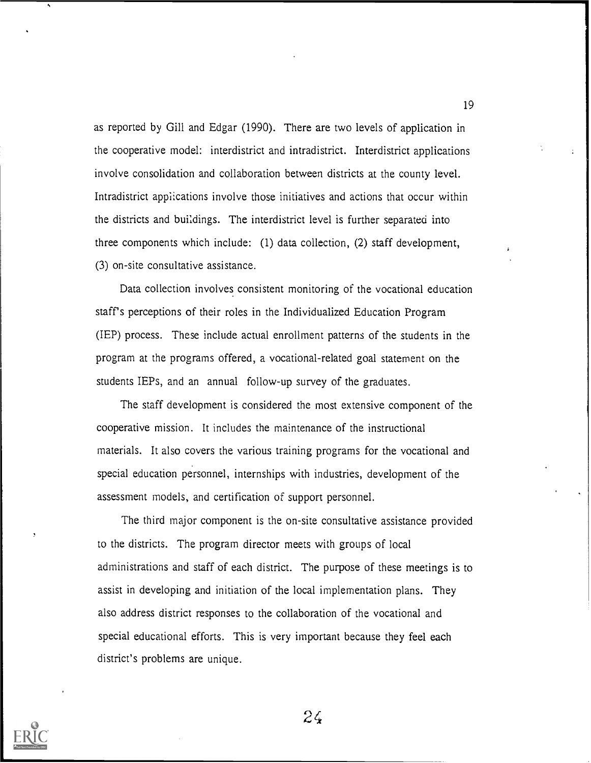as reported by Gill and Edgar (1990). There are two levels of application in the cooperative model: interdistrict and intradistrict. Interdistrict applications involve consolidation and collaboration between districts at the county level. Intradistrict applications involve those initiatives and actions that occur within the districts and buildings. The interdistrict level is further separated into three components which include: (1) data collection, (2) staff development, (3) on-site consultative assistance.

Data collection involves consistent monitoring of the vocational education staff's perceptions of their roles in the Individualized Education Program (IEP) process. These include actual enrollment patterns of the students in the program at the programs offered, a vocational-related goal statement on the students IEPs, and an annual follow-up survey of the graduates.

The staff development is considered the most extensive component of the cooperative mission. It includes the maintenance of the instructional materials. It also covers the various training programs for the vocational and special education personnel, internships with industries, development of the assessment models, and certification of support personnel.

The third major component is the on-site consultative assistance provided to the districts. The program director meets with groups of local administrations and staff of each district. The purpose of these meetings is to assist in developing and initiation of the local implementation plans. They also address district responses to the collaboration of the vocational and special educational efforts. This is very important because they feel each district's problems are unique.



 $24$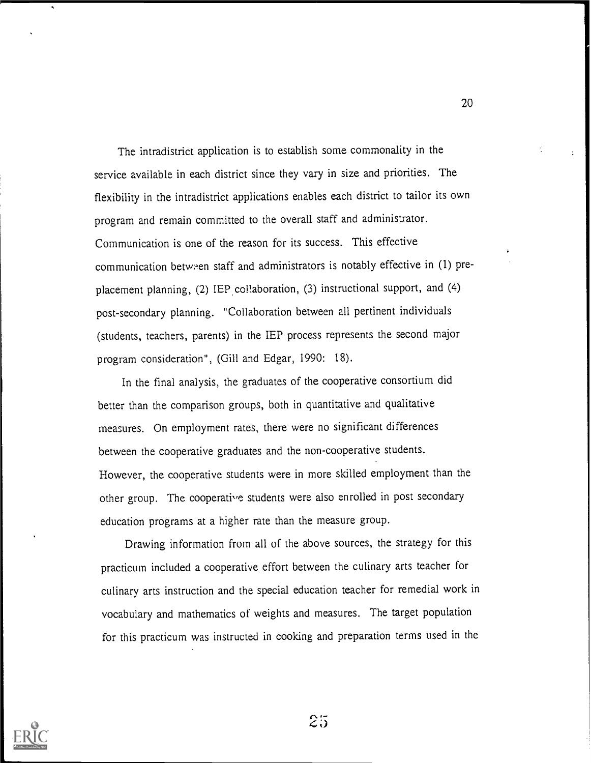The intradistrict application is to establish some commonality in the service available in each district since they vary in size and priorities. The flexibility in the intradistrict applications enables each district to tailor its own program and remain committed to the overall staff and administrator. Communication is one of the reason for its success. This effective communication between staff and administrators is notably effective in (1) preplacement planning, (2) IEP collaboration, (3) instructional support, and (4) post-secondary planning. "Collaboration between all pertinent individuals (students, teachers, parents) in the IEP process represents the second major program consideration", (Gill and Edgar, 1990: 18).

In the final analysis, the graduates of the cooperative consortium did better than the comparison groups, both in quantitative and qualitative measures. On employment rates, there were no significant differences between the cooperative graduates and the non-cooperative students. However, the cooperative students were in more skilled employment than the other group. The cooperative students were also enrolled in post secondary education programs at a higher rate than the measure group.

Drawing information from all of the above sources, the strategy for this practicum included a cooperative effort between the culinary arts teacher for culinary arts instruction and the special education teacher for remedial work in vocabulary and mathematics of weights and measures. The target population for this practicum was instructed in cooking and preparation terms used in the

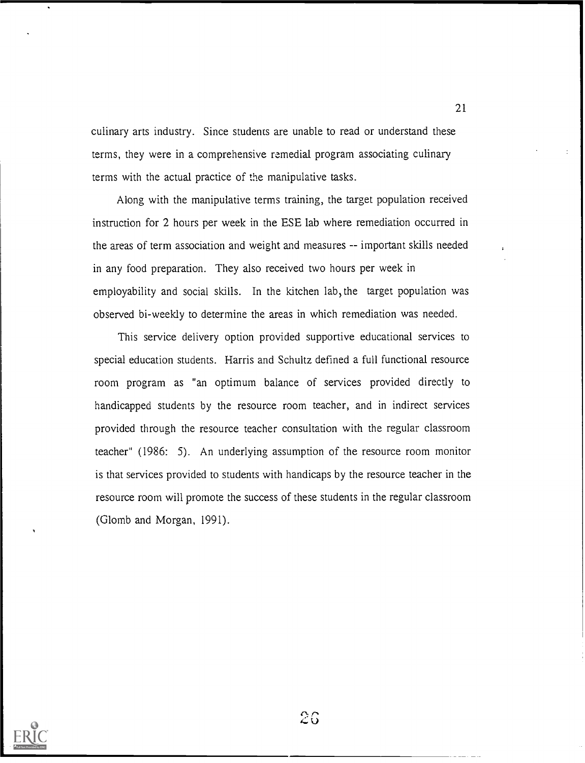culinary arts industry. Since students are unable to read or understand these terms, they were in a comprehensive remedial program associating culinary terms with the actual practice of the manipulative tasks.

Along with the manipulative terms training, the target population received instruction for 2 hours per week in the ESE lab where remediation occurred in the areas of term association and weight and measures -- important skills needed in any food preparation. They also received two hours per week in employability and social skills. In the kitchen lab, the target population was observed bi-weekly to determine the areas in which remediation was needed.

This service delivery option provided supportive educational services to special education students. Harris and Schultz defined a full functional resource room program as "an optimum balance of services provided directly to handicapped students by the resource room teacher, and in indirect services provided through the resource teacher consultation with the regular classroom teacher" (1986: 5). An underlying assumption of the resource room monitor is that services provided to students with handicaps by the resource teacher in the resource room will promote the success of these students in the regular classroom (Glomb and Morgan, 1991).



26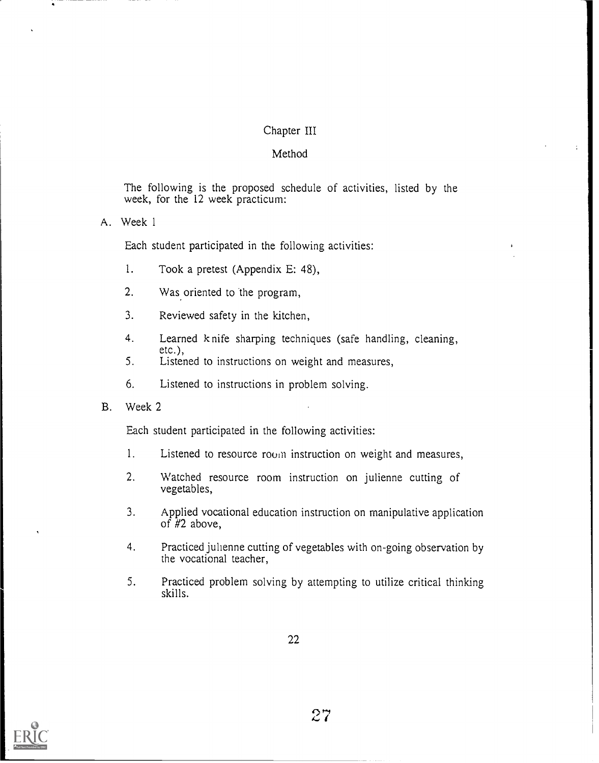## Chapter III

## Method

The following is the proposed schedule of activities, listed by the week, for the 12 week practicum:

A. Week 1

Each student participated in the following activities:

- 1. Took a pretest (Appendix E: 48),
- 2. Was oriented to the program,
- 3. Reviewed safety in the kitchen,
- 4. Learned knife sharping techniques (safe handling, cleaning, etc.),
- 5. Listened to instructions on weight and measures,
- 6. Listened to instructions in problem solving.
- B. Week 2

Each student participated in the following activities:

- 1. Listened to resource room instruction on weight and measures,
- 2. Watched resource room instruction on julienne cutting of vegetables,
- 3. Applied vocational education instruction on manipulative application of  $#2$  above,
- 4. Practiced julienne cutting of vegetables with on-going observation by the vocational teacher,
- 5. Practiced problem solving by attempting to utilize critical thinking skills.

22

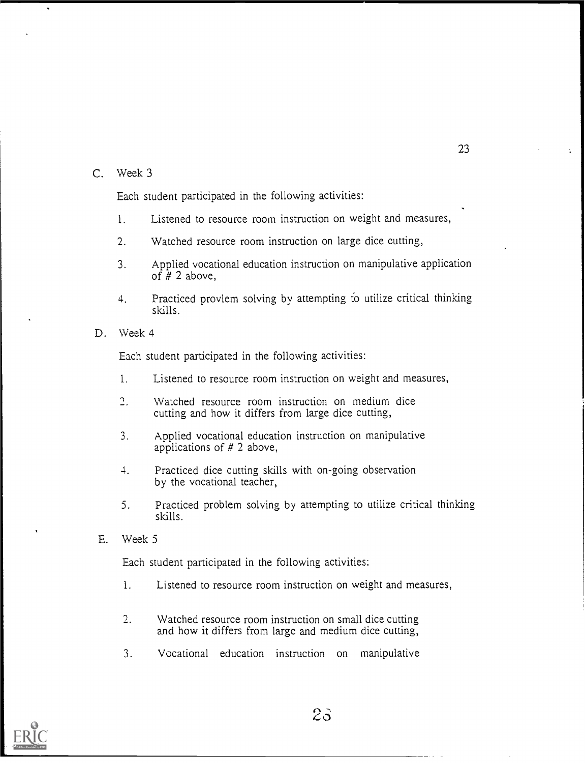C. Week 3

Each student participated in the following activities:

- 1. Listened to resource room instruction on weight and measures,
- 2. Watched resource room instruction on large dice cutting,
- 3. Applied vocational education instruction on manipulative application of  $\hat{H}$  2 above,
- 4. Practiced provlem solving by attempting to utilize critical thinking skills.
- D. Week 4

Each student participated in the following activities:

- 1. Listened to resource room instruction on weight and measures,
- $\overline{2}$ . Watched resource room instruction on medium dice cutting and how it differs from large dice cutting,
- 3. Applied vocational education instruction on manipulative applications of # 2 above,
- 4. Practiced dice cutting skills with on-going observation by the vocational teacher,
- 5. Practiced problem solving by attempting to utilize critical thinking skills.
- E. Week 5

Each student participated in the following activities:

- 1. Listened to resource room instruction on weight and measures,
- 2. Watched resource room instruction on small dice cutting and how it differs from large and medium dice cutting,
- 3. Vocational education instruction on manipulative

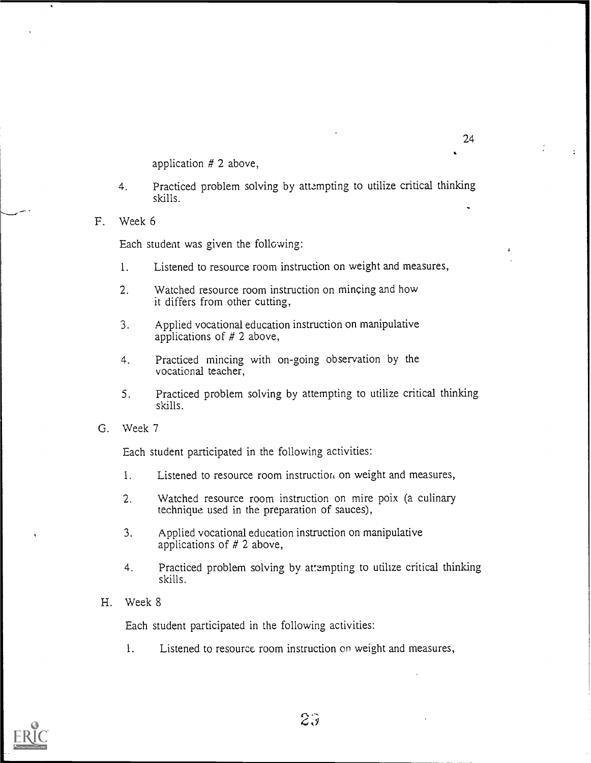application # 2 above,

- 4. Practiced problem solving by attempting to utilize critical thinking skills.
- F. Week 6

Each student was given the following:

- 1. Listened to resource room instruction on weight and measures,
- 2. Watched resource room instruction on mincing and how it differs from other cutting,
- 3. Applied vocational education instruction on manipulative applications of # 2 above,
- 4. Practiced mincing with on-going observation by the vocational teacher,
- 5. Practiced problem solving by attempting to utilize critical thinking skills.
- G. Week 7

Each student participated in the following activities:

- 1. Listened to resource room instruction on weight and measures,
- 2. Watched resource room instruction on mire poix (a culinary technique used in the preparation of sauces),
- 3. Applied vocational education instruction on manipulative applications of # 2 above,
- 4. Practiced problem solving by attempting to utilize critical thinking skills.
- H. Week 8

Each student participated in the following activities:

1. Listened to resource room instruction on weight and measures,

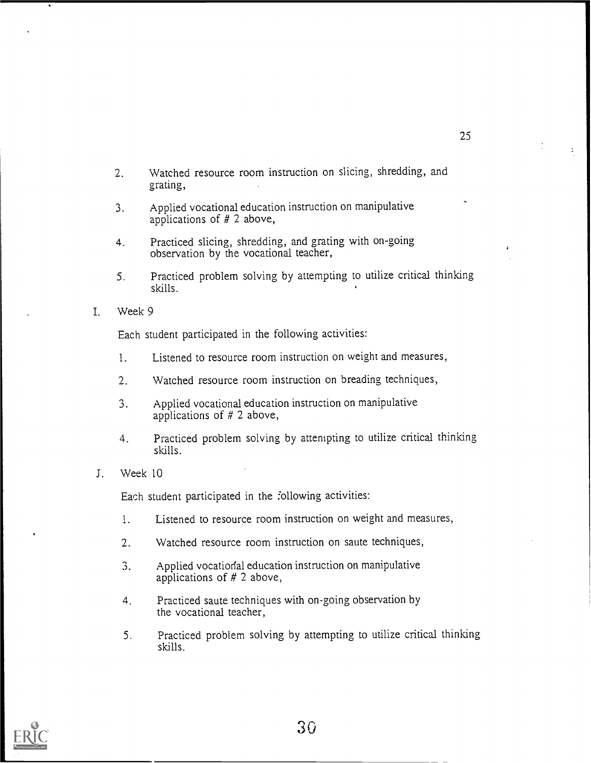- Watched resource room instruction on slicing, shredding, and  $2.$ grating,
- 3. Applied vocational education instruction on manipulative applications of # 2 above,
- 4. Practiced slicing, shredding, and grating with on-going observation by the vocational teacher,
- 5. Practiced problem solving by attempting to utilize critical thinking skills.
- I. Week 9

Each student participated in the following activities:

- 1. Listened to resource room instruction on weight and measures,
- 2. Watched resource room instruction on breading techniques,
- 3. Applied vocational education instruction on manipulative applications of # 2 above,
- 4. Practiced problem solving by attempting to utilize critical thinking skills.
- J. Week 10

Each student participated in the following activities:

- 1. Listened to resource room instruction on weight and measures,
- 2. Watched resource room instruction on saute techniques,
- 3. Applied vocatioral education instruction on manipulative applications of  $# 2$  above,
- 4. Practiced saute techniques with on-going observation by the vocational teacher,
- 5. Practiced problem solving by attempting to utilize critical thinking skills.

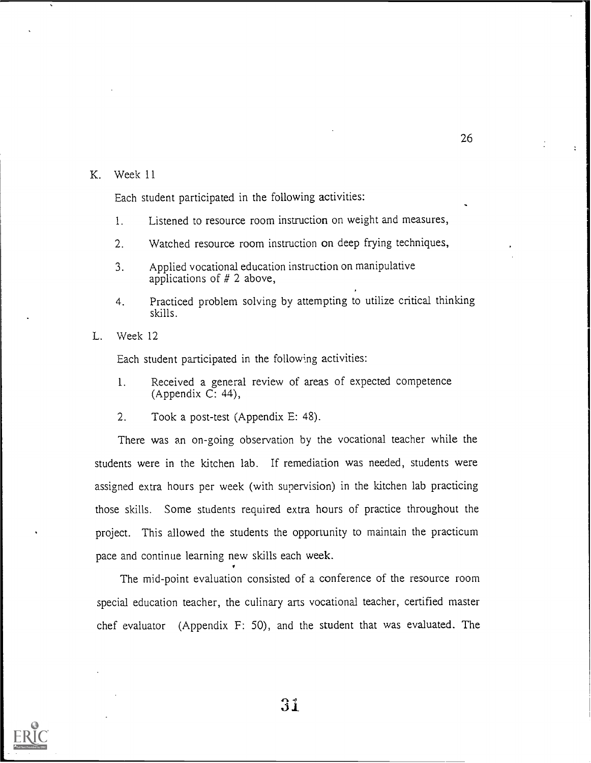#### K. Week 11

Each student participated in the following activities:

- 1. Listened to resource room instruction on weight and measures,
- 2. Watched resource room instruction on deep frying techniques,
- 3. Applied vocational education instruction on manipulative applications of # 2 above,
- 4. Practiced problem solving by attempting to utilize critical thinking skills.
- L. Week 12

Each student participated in the following activities:

- 1. Received a general review of areas of expected competence  $(A$ ppendix  $C: 44$ ),
- 2. Took a post-test (Appendix E: 48).

There was an on-going observation by the vocational teacher while the students were in the kitchen lab. If remediation was needed, students were assigned extra hours per week (with supervision) in the kitchen lab practicing those skills. Some students required extra hours of practice throughout the project. This allowed the students the opportunity to maintain the practicum pace and continue learning new skills each week.

The mid-point evaluation consisted of a conference of the resource room special education teacher, the culinary arts vocational teacher, certified master chef evaluator (Appendix F: 50), and the student that was evaluated. The

'31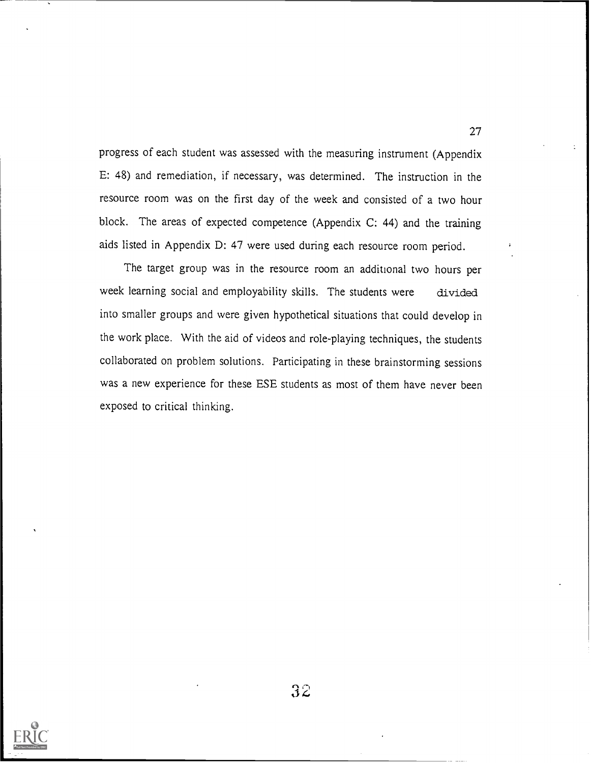progress of each student was assessed with the measuring instrument (Appendix E: 48) and remediation, if necessary, was determined. The instruction in the resource room was on the first day of the week and consisted of a two hour block. The areas of expected competence (Appendix C: 44) and the training aids listed in Appendix D: 47 were used during each resource room period.

The target group was in the resource room an additional two hours per week learning social and employability skills. The students were divided into smaller groups and were given hypothetical situations that could develop in the work place. With the aid of videos and role-playing techniques, the students collaborated on problem solutions. Participating in these brainstorming sessions was a new experience for these ESE students as most of them have never been exposed to critical thinking.

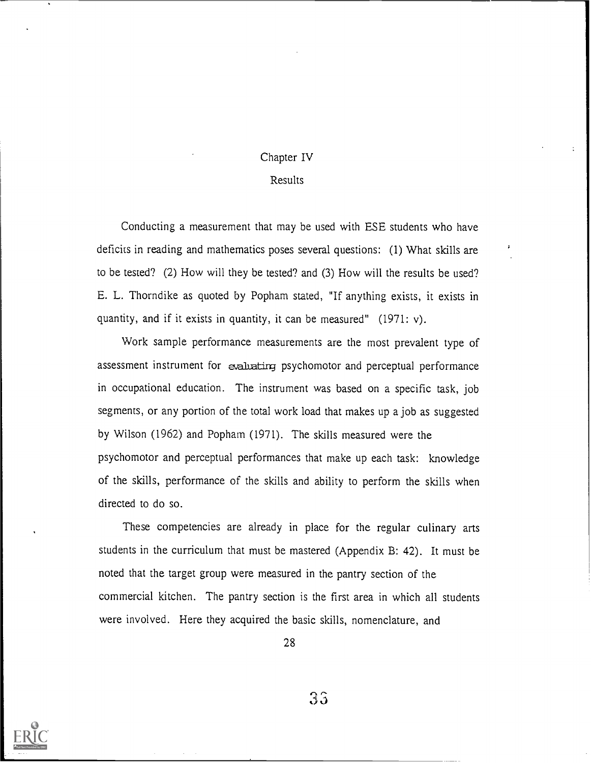## Chapter IV

## Results

Conducting a measurement that may be used with ESE students who have deficits in reading and mathematics poses several questions: (1) What skills are to be tested? (2) How will they be tested? and (3) How will the results be used? E. L. Thorndike as quoted by Popham stated, "If anything exists, it exists in quantity, and if it exists in quantity, it can be measured" (1971: v).

Work sample performance measurements are the most prevalent type of assessment instrument for evaluating psychomotor and perceptual performance in occupational education. The instrument was based on a specific task, job segments, or any portion of the total work load that makes up a job as suggested by Wilson (1962) and Popham (1971). The skills measured were the psychomotor and perceptual performances that make up each task: knowledge of the skills, performance of the skills and ability to perform the skills when directed to do so.

These competencies are already in place for the regular culinary arts students in the curriculum that must be mastered (Appendix B: 42). It must be noted that the target group were measured in the pantry section of the commercial kitchen. The pantry section is the first area in which all students were involved. Here they acquired the basic skills, nomenclature, and

28

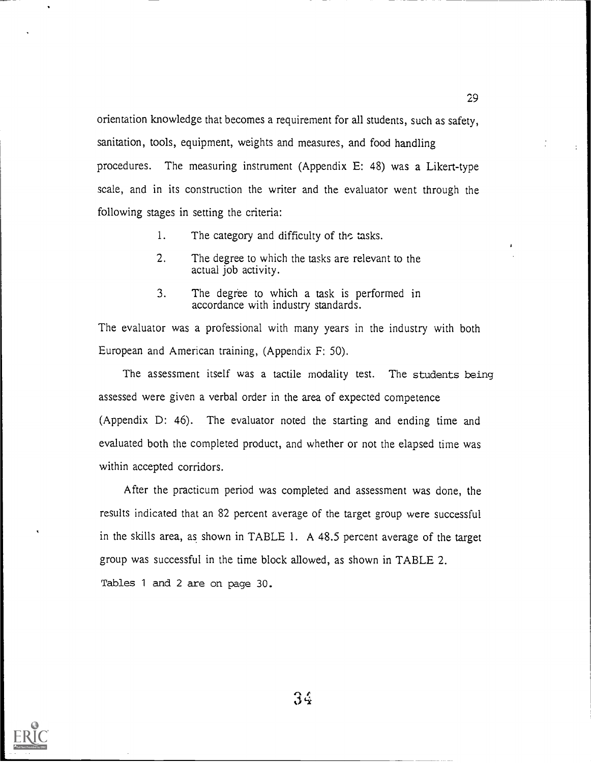orientation knowledge that becomes a requirement for all students, such as safety, sanitation, tools, equipment, weights and measures, and food handling procedures. The measuring instrument (Appendix E: 48) was a Likert-type scale, and in its construction the writer and the evaluator went through the following stages in setting the criteria:

- 1. The category and difficulty of the tasks.
- 2. The degree to which the tasks are relevant to the actual job activity.
- 3. The degree to which a task is performed in accordance with industry standards.

The evaluator was a professional with many years in the industry with both European and American training, (Appendix F: 50).

The assessment itself was a tactile modality test. The students being assessed were given a verbal order in the area of expected competence (Appendix D: 46). The evaluator noted the starting and ending time and evaluated both the completed product, and whether or not the elapsed time was within accepted corridors.

After the practicum period was completed and assessment was done, the results indicated that an 82 percent average of the target group were successful in the skills area, as shown in TABLE 1. A 48.5 percent average of the target group was successful in the time block allowed, as shown in TABLE 2. Tables 1 and 2 are on page 30.



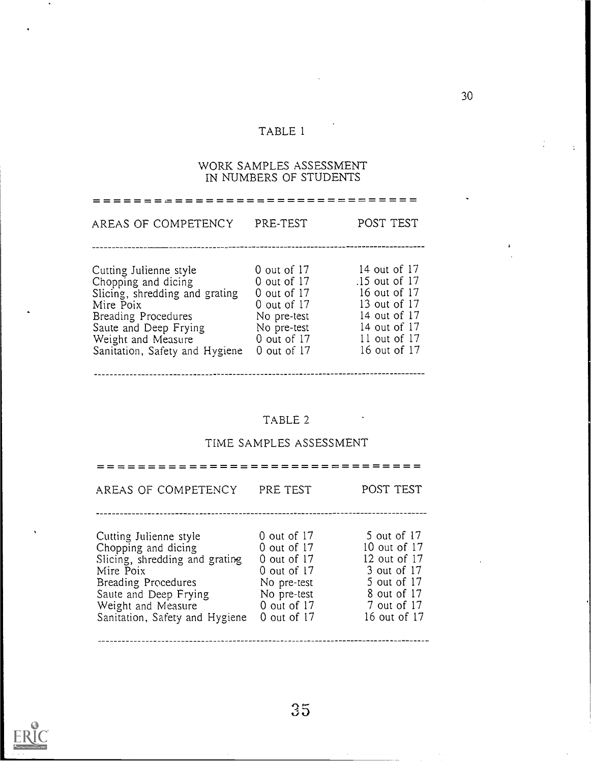## TABLE 1

#### WORK SAMPLES ASSESSMENT IN NUMBERS OF STUDENTS

================================= AREAS OF COMPETENCY PRE-TEST POST TEST 0 out of 17 14 out of 17 Cutting Julienne style .15 out of 17 Chopping and dicing 0 out of 17 0 out of 17 16 out of 17 Slicing, shredding and grating 0 out of 17 13 out of 17 Mire Poix 14 out of 17 No pre-test Breading Procedures 14 out of 17 Saute and Deep Frying No pre-test 11 out of 17 Weight and Measure 0 out of 17 16 out of 17 Sanitation, Safety and Hygiene 0 out of 17

TABLE 2

## TIME SAMPLES ASSESSMENT

| AREAS OF COMPETENCY                                                                                                                                                                                  | PRE TEST                                                                                                                       | POST TEST                                                                                                               |
|------------------------------------------------------------------------------------------------------------------------------------------------------------------------------------------------------|--------------------------------------------------------------------------------------------------------------------------------|-------------------------------------------------------------------------------------------------------------------------|
| Cutting Julienne style<br>Chopping and dicing<br>Slicing, shredding and grating<br>Mire Poix<br>Breading Procedures<br>Saute and Deep Frying<br>Weight and Measure<br>Sanitation, Safety and Hygiene | $0$ out of 17<br>$0$ out of 17<br>$0$ out of 17<br>$0$ out of 17<br>No pre-test<br>No pre-test<br>0 out of 17<br>0 out of $17$ | 5 out of 17<br>10 out of 17<br>12 out of 17<br>3 out of 17<br>5 out of 17<br>8 out of 17<br>7 out of 17<br>16 out of 17 |

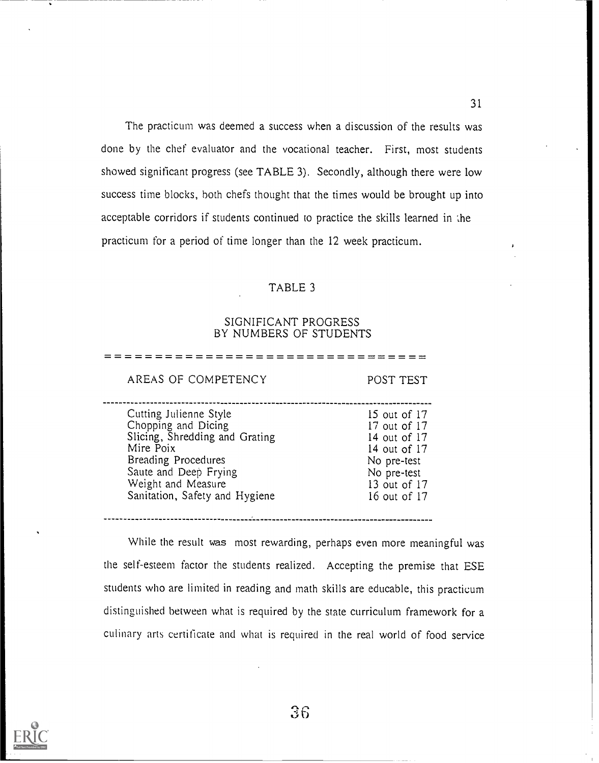The practicum was deemed a success when a discussion of the results was done by the chef evaluator and the vocational teacher. First, most students showed significant progress (see TABLE 3). Secondly, although there were low success time blocks, both chefs thought that the times would be brought up into acceptable corridors if students continued to practice the skills learned in the practicum for a period of time longer than the 12 week practicum.

#### TABLE 3

#### SIGNIFICANT PROGRESS BY NUMBERS OF STUDENTS

AREAS OF COMPETENCY POST TEST Cutting Julienne Style 15 out of 17 Chopping and Dicing 17 out of 17 Slicing, Shredding and Grating 14 out of 17 Mire Poix 14 out of 17 Breading Procedures No pre-test Saute and Deep Frying No pre-test Weight and Measure 13 out of 17 Sanitation, Safety and Hygiene 16 out of 17

================================

While the result was most rewarding, perhaps even more meaningful was the self-esteem factor the students realized. Accepting the premise that ESE students who are limited in reading and math skills are educable, this practicum distinguished between what is required by the state curriculum framework for a culinary arts certificate and what is required in the real world of food service

.................................

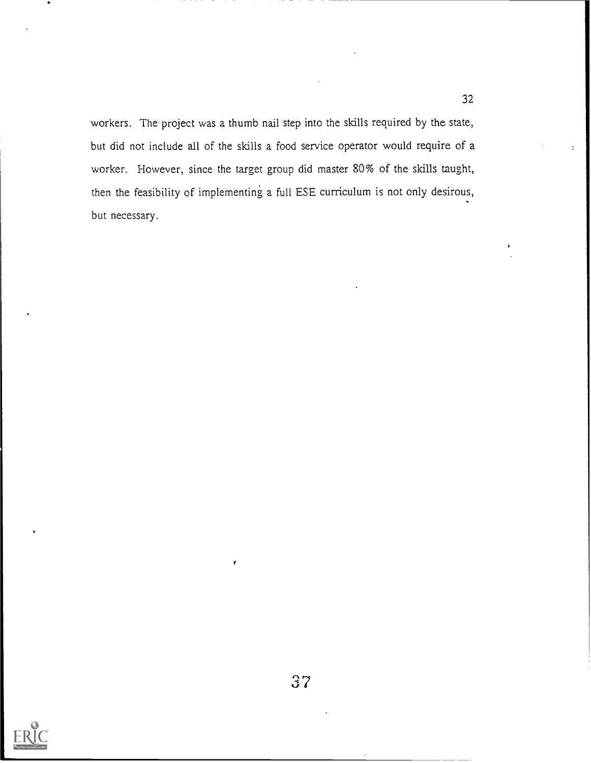workers. The project was a thumb nail step into the skills required by the state, but did not include all of the skills a food service operator would require of a worker. However, since the target group did master 80% of the skills taught, then the feasibility of implementing a full ESE curriculum is not only desirous, but necessary.

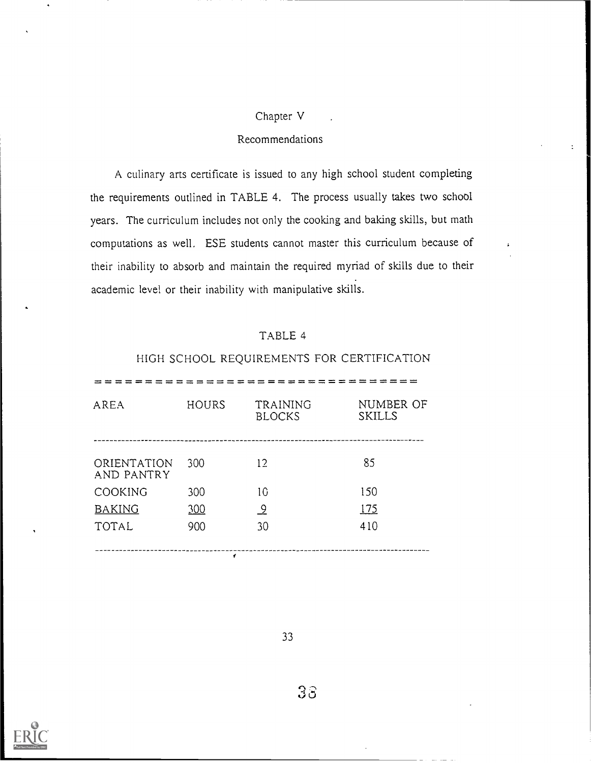## Chapter V

## Recommendations

A culinary arts certificate is issued to any high school student completing the requirements outlined in TABLE 4. The process usually takes two school years. The curriculum includes not only the cooking and baking skills, but math computations as well. ESE students cannot master this curriculum because of their inability to absorb and maintain the required myriad of skills due to their academic level or their inability with manipulative skills.

## TABLE 4

## HIGH SCHOOL REQUIREMENTS FOR CERTIFICATION

| = = = = = = = =           |              |                           |                            |
|---------------------------|--------------|---------------------------|----------------------------|
| AREA                      | <b>HOURS</b> | TRAINING<br><b>BLOCKS</b> | NUMBER OF<br><b>SKILLS</b> |
| ORIENTATION<br>AND PANTRY | 300          | 12                        | 85                         |
| COOKING                   | 300          | 10                        | 150                        |
| <b>BAKING</b>             | 300          | <u>و</u>                  | 175                        |
| TOTAL                     | 900          | 30                        | 410                        |
|                           |              |                           |                            |



33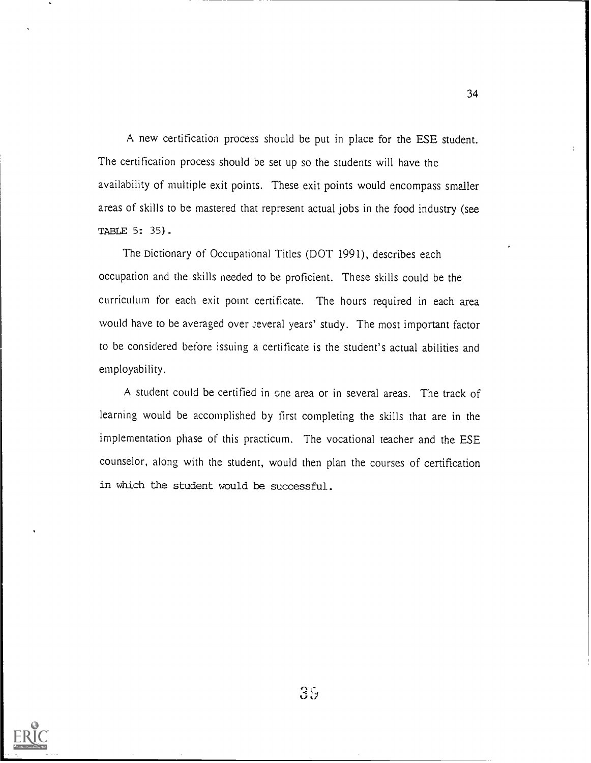A new certification process should be put in place for the ESE student. The certification process should be set up so the students will have the availability of multiple exit points. These exit points would encompass smaller areas of skills to be mastered that represent actual jobs in the food industry (see TABLE 5: 35).

The Dictionary of Occupational Titles (DOT 1991), describes each occupation and the skills needed to be proficient. These skills could be the curriculum for each exit point certificate. The hours required in each area would have to be averaged over several years' study. The most important factor to be considered before issuing a certificate is the student's actual abilities and employability.

A student could be certified in cne area or in several areas. The track of learning would be accomplished by first completing the skills that are in the implementation phase of this practicum. The vocational teacher and the ESE counselor, along with the student, would then plan the courses of certification in which the student would be successful.



 $3\%$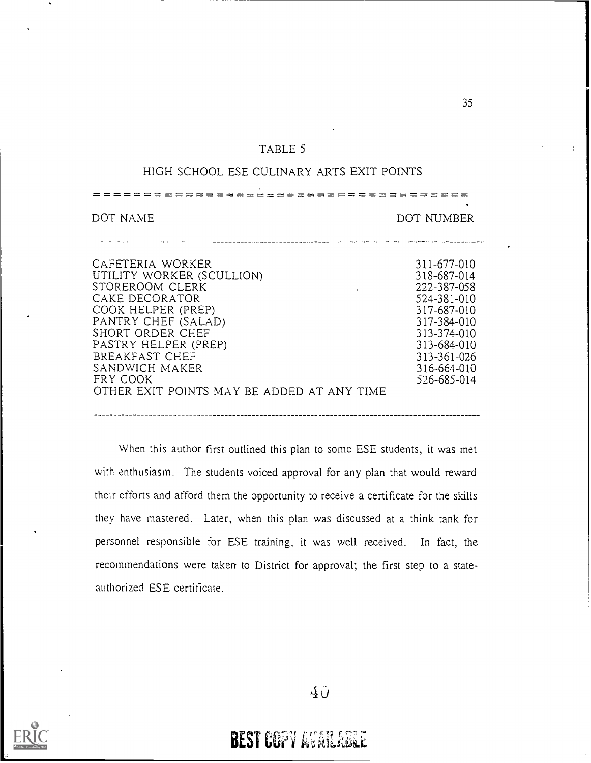## TABLE 5

## HIGH SCHOOL ESE CULINARY ARTS EXIT POINTS

المواقع الأول المناسب المواقع المناسب المواقع المواقع المواقع المواقع المواقع المواقع المواقع المواقع المواقع

DOT NAME DOT NUMBER

| CAFETERIA WORKER<br>UTILITY WORKER (SCULLION)<br>STOREROOM CLERK<br>CAKE DECORATOR<br>COOK HELPER (PREP)<br>PANTRY CHEF (SALAD)<br>SHORT ORDER CHEF<br>PASTRY HELPER (PREP)<br>BREAKFAST CHEF<br>SANDWICH MAKER<br>FRY COOK | 311-677-010<br>318-687-014<br>222-387-058<br>524-381-010<br>317-687-010<br>317-384-010<br>313-374-010<br>313-684-010<br>313-361-026<br>316-664-010<br>526-685-014 |  |
|-----------------------------------------------------------------------------------------------------------------------------------------------------------------------------------------------------------------------------|-------------------------------------------------------------------------------------------------------------------------------------------------------------------|--|
| OTHER EXIT POINTS MAY BE ADDED AT ANY TIME                                                                                                                                                                                  |                                                                                                                                                                   |  |
|                                                                                                                                                                                                                             |                                                                                                                                                                   |  |

When this author first outlined this plan to some ESE students, it was met with enthusiasm. The students voiced approval for any plan that would reward their efforts and afford them the opportunity to receive a certificate for the skills they have mastered. Later, when this plan was discussed at a think tank for personnel responsible for ESE training, it was well received. In fact, the recommendations were taken to District for approval; the first step to a stateauthorized ESE certificate.

40



**BEST COPY AVAILABLE**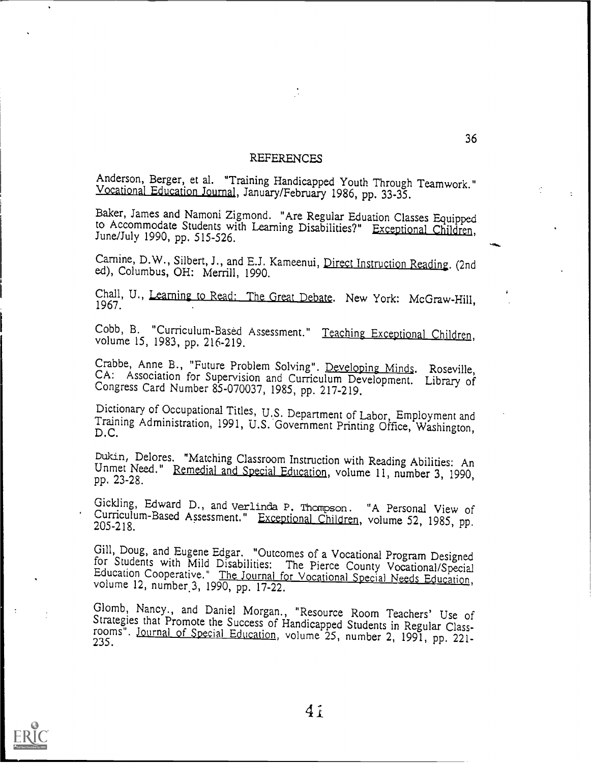#### REFERENCES

Anderson, Berger, et al. "Training Handicapped Youth Through Teamwork." Vocational Education Journal, January/February 1986, pp. 33-35.

Baker, James and Namoni Zigmond. "Are Regular Eduation Classes Equipped to Accommodate Students with Learning Disabilities?" Exceptional Children, June/July 1990, pp. 515-526.

Carnine, D.W., Silbert, J., and E.J. Kameenui, Direct Instruction Reading. (2nd ed), Columbus, OH: Merrill, 1990.

Chall, U., Learning to Read: The Great Debate. New York: McGraw-Hill, 1967.

Cobb, B. "Curriculum-Based Assessment." Teaching Exceptional Children, volume 15, 1983, pp. 216-219.

Crabbe, Anne B., "Future Problem Solving". Developing Minds. Roseville, CA: Association for Supervision and Curriculum Development. Library of Congress Card Number 85-070037, 1985, pp. 21'7-219.

Dictionary of Occupational Titles, U.S. Department of Labor, Employment and Training Administration, 1991, U.S. Government Printing Office, Washington, D.C.

Dukin, Delores. "Matching Classroom Instruction with Reading Abilities: An Unmet Need." Remedial and Special Education, volume 11, number 3, 1990, pp. 23-28.

Gickling, Edward D., and Verlinda P. Thompson. "A Personal View of Curriculum-Based Assessment." Exceptional Children, volume 52, 1985, pp. 205-218.

Gill, Doug, and Eugene Edgar. "Outcomes of a Vocational Program Designed<br>for Students with Mild Disabilities: The Pierce County Vocational/Special<br>Education Cooperative." The Journal for Vocational Special Needs Education,

Glomb, Nancy., and Daniel Morgan., "Resource Room Teachers' Use of Strategies that Promote the Success of Handicapped Students in Regular Class- rooms". Journal of Special Education, volume 25, number 2, 1991, pp. 221- 235



 $\mathbf{r}$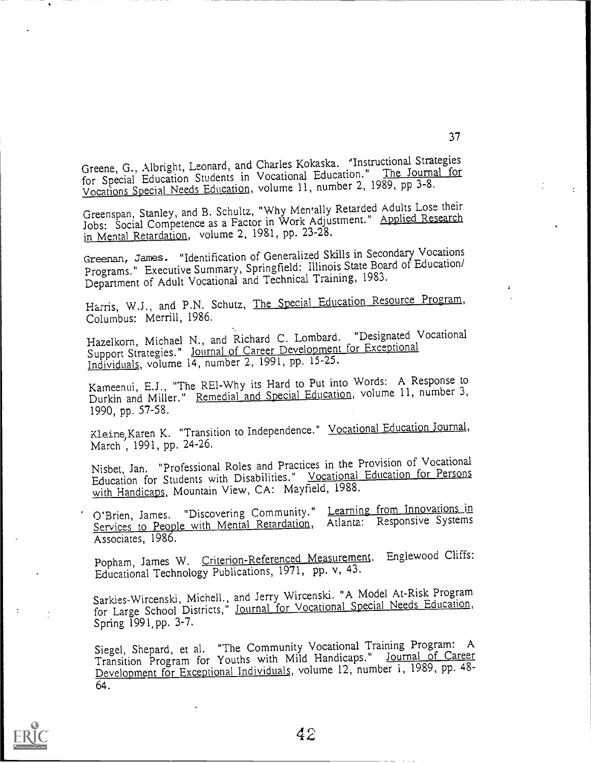Greene, G., Albright, Leonard, and Charles Kokaska. "Instructional Strategies for Special Education Students in Vocational Education." The Journal for Vocations Special Needs Education, volume 11, number 2, 1989, pp 3-8.

Greenspan, Stanley, and B. Schultz, "Why Men'ally Retarded Adults Lose their Jobs: Social Competence as a Factor in Work Adjustment." Applied Research in Mental Retardation, volume 2, 1981, pp. 23-28.

Greenan, James. "Identification of Generalized Skills in Secondary Vocations Programs." Executive Summary, Springfield: Illinois State Board of Education/ Department of Adult Vocational and Technical Training, 1983.

Harris, W.J., and P.N. Schutz, The Special Education Resource Program, Columbus: Merrill, 1986.

Hazelkorn, Michael N., and Richard C. Lombard. "Designated Vocational Support Strategies." Journal of Career Development for Exceptional Individuals, volume 14, number 2, 1991, pp. 15-25.

Kameenui, E.J., "The REI-Why its Hard to Put into Words: A Response to Durkin and Miller." Remedial and Special Education, volume 11, number 3, 1990, pp. 57-58.

Kleine, Karen K. "Transition to Independence." Vocational Education Journal, March, 1991, pp. 24-26.

Nisbet, Jan. "Professional Roles and Practices in the Provision of Vocational Education for Students with Disabilities." Vocational Education for Persons with Handicaps, Mountain View, CA: Mayfield, 1988.

O'Brien, James. "Discovering Community." Learning from Innovations in Services to People with Mental Retardation, Atlanta: Responsive Systems Associates, 1986.

Popham, James W. Criterion-Referenced Measurement. Englewood Cliffs: Educational Technology Publications, 1971, pp. v, 43.

Sarkies-Wircenski, Michell., and Jerry Wircenski. "A Model At-Risk Program Sarkies-Witchish, Micheli, and Terry to Vocational Special Needs Education, Spring 1991,pp. 3-7.

Siegel, Shepard, et al. "The Community Vocational Training Program: A Transition Program for Youths with Mild Handicaps." Journal of Career Development for Exceptional Individuals, volume 12, number 1, 1989, pp. 48-64.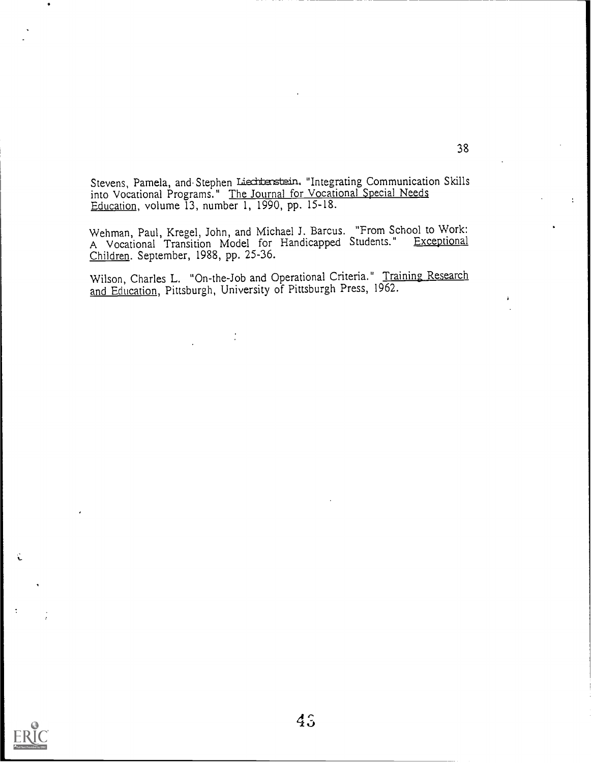Stevens, Pamela, and Stephen Liectterstein. "Integrating Communication Skills into Vocational Programs." The Journal for Vocational Special Needs Education, volume 13, number 1, 1990, pp. 15-18.

Wehman, Paul, Kregel, John, and Michael J. Barcus. "From School to Work: A Vocational Transition Model for Handicapped Students." Exceptional Children. September, 1988, pp. 25-36.

Wilson, Charles L. "On-the-Job and Operational Criteria." Training Research and Education, Pittsburgh, University of Pittsburgh Press, 1962.

 $\frac{1}{2}$ 



Ĉ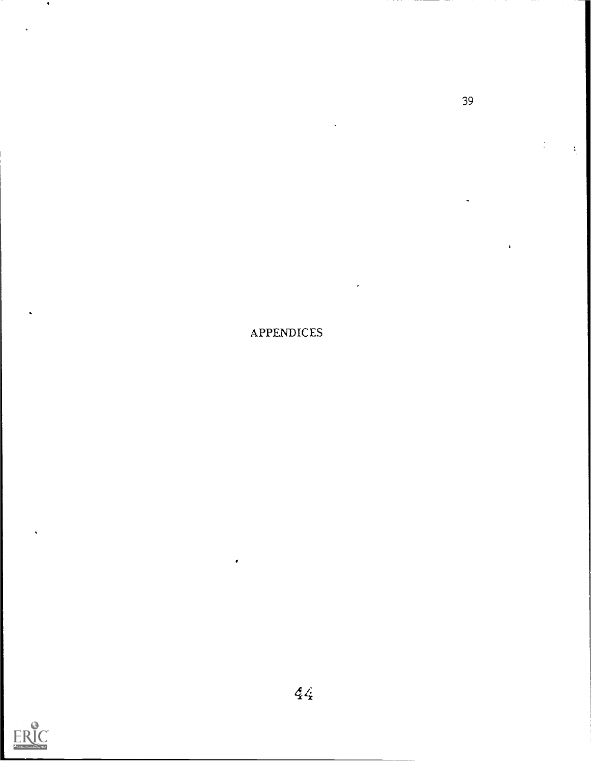APPENDICES



 $\bullet$ 

39

 $\frac{1}{\sqrt{2}}$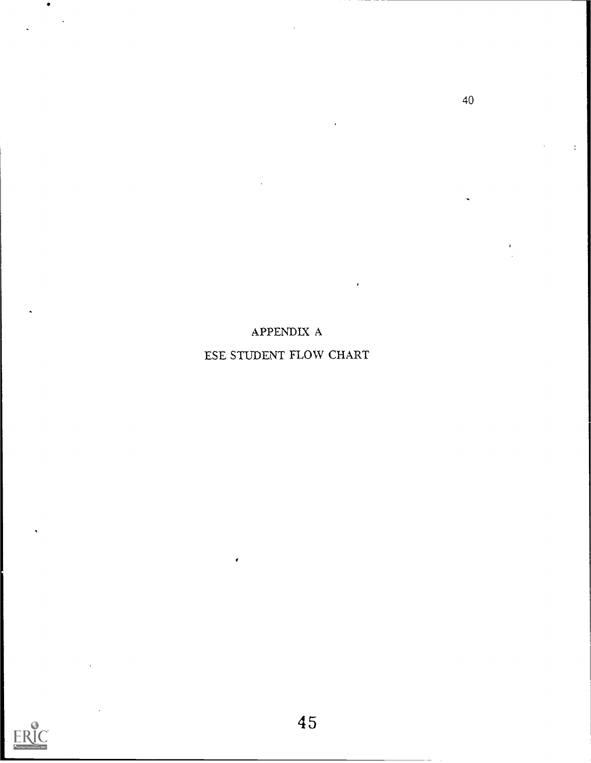APPENDIX A

ESE STUDENT FLOW CHART

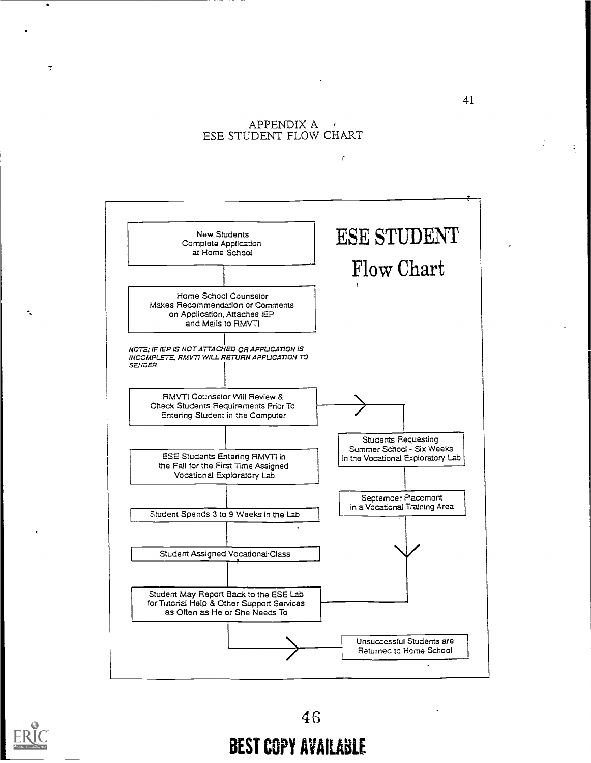## APPENDIX A ESE STUDENT FLOW CHART

 $\epsilon$ 





 $\tilde{z}$ 

٩

# BEST COPY AVAILABLE

 $\frac{1}{2}$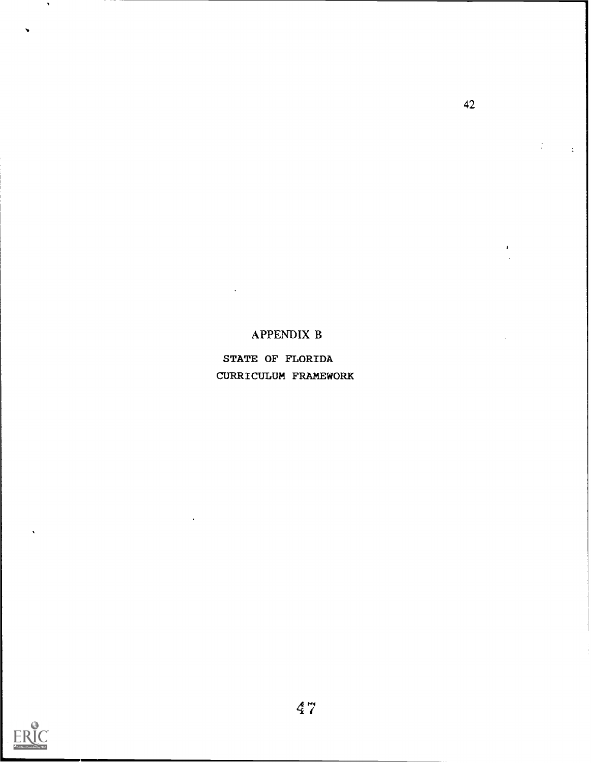## APPENDIX B

STATE OF FLORIDA CURRICULUM FRAMEWORK



 $\blacktriangleright$ 

42

 $\pm$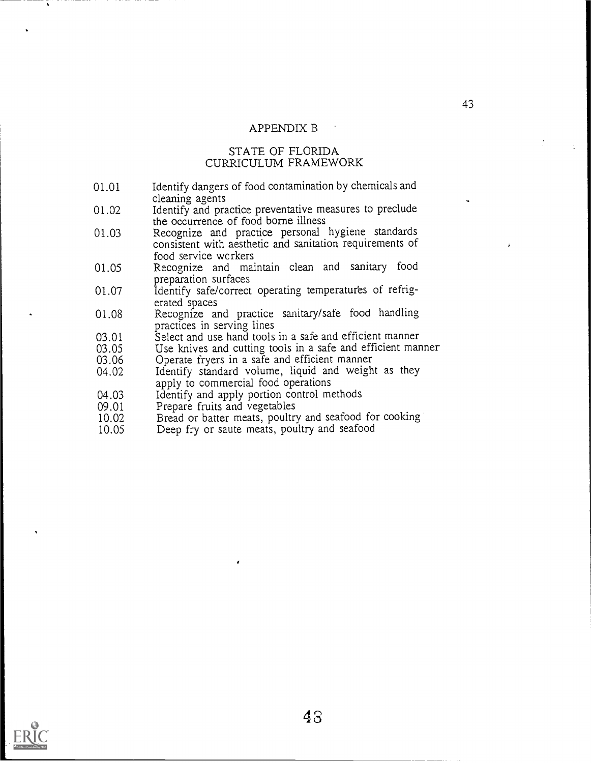## APPENDIX B

#### STATE OF FLORIDA CURRICULUM FRAMEWORK

- 01.01 Identify dangers of food contamination by chemicals and cleaning agents
- 01.02 Identify and practice preventative measures to preclude the occurrence of food borne illness
- 01.03 Recognize and practice personal hygiene standards consistent with aesthetic and sanitation requirements of food service wcrkers
- 01.05 Recognize and maintain clean and sanitary food preparation surfaces
- 01.07 ldentify safe/correct operating temperatures of refrigerated spaces
- 01.08 Recognize and practice sanitary/safe food handling practices in serving lines
- 03.01 Select and use hand tools in a safe and efficient manner<br>03.05 Use knives and cutting tools in a safe and efficient man
- 03.05 Use knives and cutting tools in a safe and efficient manner 03.06 Operate fryers in a safe and efficient manner
- 03.06 Operate fryers in a safe and efficient manner<br>04.02 Identify standard volume, liquid and weigh
- Identify standard volume, liquid and weight as they apply to commercial food operations
- 04.03 Identify and apply portion control methods<br>09.01 Prepare fruits and vegetables
- 09.01 Prepare fruits and vegetables<br>10.02 Bread or batter meats, poultr
- 10.02 Bread or batter meats, poultry and seafood for cooking<br>10.05 Deep fry or saute meats, poultry and seafood
- Deep fry or saute meats, poultry and seafood

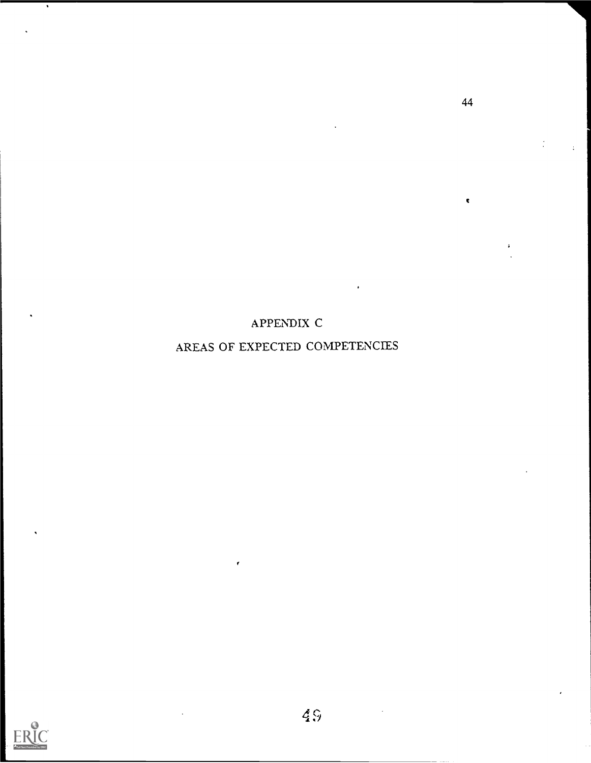APPENDIX C

AREAS OF EXPECTED COMPETENCIES



 $\bullet$ 

44

 $\pmb{\epsilon}$ 

 $\ddot{\phantom{a}}$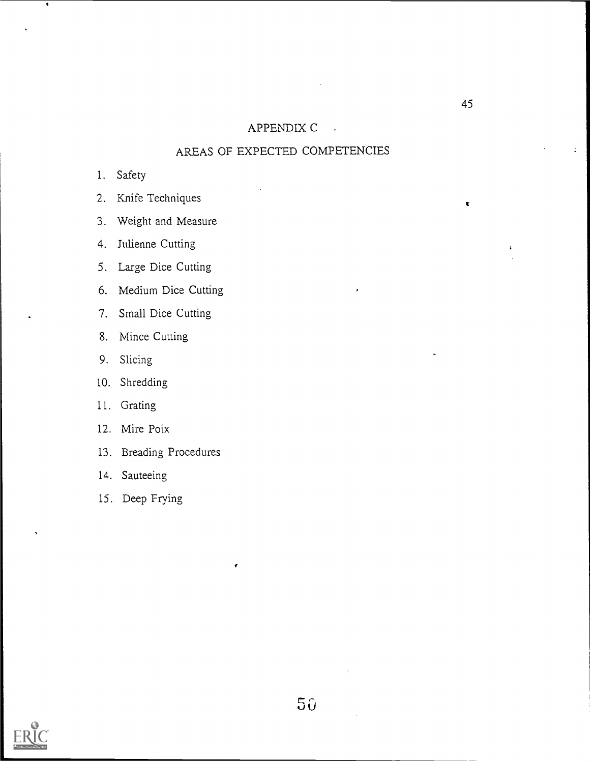## APPENDIX C

## AREAS OF EXPECTED COMPETENCIES

- 1. Safety
- 2. Knife Techniques
- 3. Weight and Measure
- 4. Julienne Cutting
- 5. Large Dice Cutting
- 6. Medium Dice Cutting
- 7. Small Dice Cutting
- 8. Mince Cutting
- 9. Slicing
- 10. Shredding
- 11. Grating
- 12. Mire Poix
- 13. Breading Procedures
- 14. Sauteeing
- 15. Deep Frying



45

c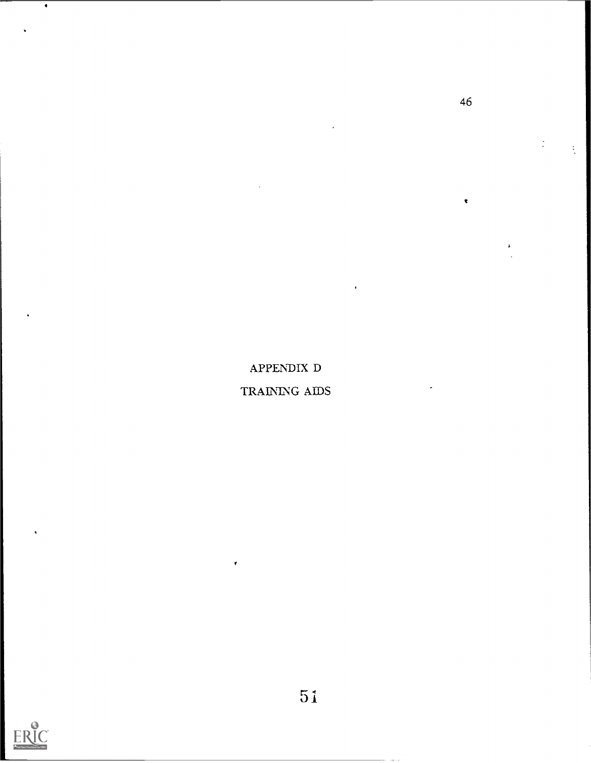APPENDIX D

TRAINING AIDS

Ý



 $\overline{\bullet}$ 

46

 $\overline{\mathbf{t}}$ 

 $\frac{1}{2}$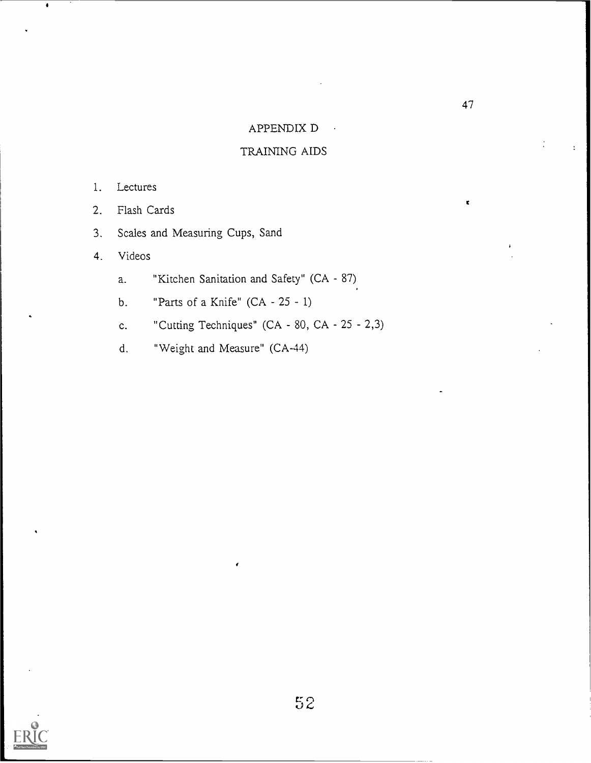## APPENDIX D

## TRAINING AIDS

- 1. Lectures
- 2. Flash Cards
- 3. Scales and Measuring Cups, Sand
- 4. Videos
	- a. "Kitchen Sanitation and Safety" (CA 87)
	- b. "Parts of a Knife"  $(CA 25 1)$
	- c. "Cutting Techniques" (CA  $80$ , CA  $25 2,3$ )
	- d. "Weight and Measure" (CA-44)



C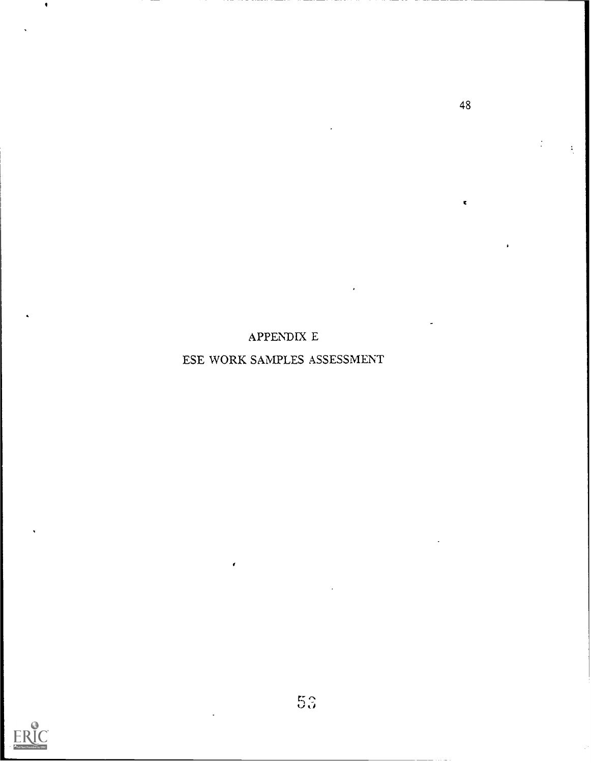## APPENDIX E

## ESE WORK SAMPLES ASSESSMENT



48

ż

ċ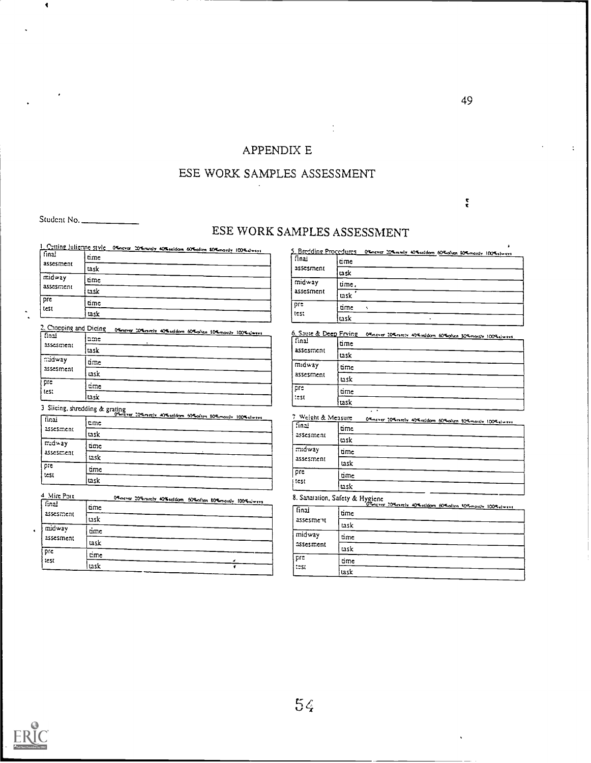## APPENDIX E

## ESE WORK SAMPLES ASSESSMENT

Student No.

 $\ddot{\phantom{0}}$ 

# ESE WORK SAMPLES ASSESSMENT

|                     | 1. Cutting Julianne style Others 20% andy 40% seldom 60% often 40% monthy 100% always |
|---------------------|---------------------------------------------------------------------------------------|
| final<br>assesment  | ume                                                                                   |
|                     | task                                                                                  |
| midway<br>assesment | ame                                                                                   |
|                     | task                                                                                  |
| pre<br>test         | time                                                                                  |
|                     | task                                                                                  |

| 2. Chooping and Dicing | Officer 20% rately 40% addom 60% often 30% monthy 100% diways |  |
|------------------------|---------------------------------------------------------------|--|
| f final<br>assesment   | ame                                                           |  |
|                        | task                                                          |  |
| midway<br>assesment    | time                                                          |  |
|                        | task                                                          |  |
| pre<br>les:            | ame                                                           |  |
|                        | task                                                          |  |

3 Slicing, shredding & grating

| finai       |      | 09mzver 209 mmzlv 409 seldom 609 often 809 mostly 1009 slwsvs |
|-------------|------|---------------------------------------------------------------|
|             | eme  |                                                               |
| assesment   | task |                                                               |
| midway.     | time |                                                               |
| assesment   | task |                                                               |
| pre<br>test | time |                                                               |
|             | task |                                                               |

| 4 Mire Poix         | Officerer 20% ranchy 40% seldom 60% often 80% monthly 100% sincers |
|---------------------|--------------------------------------------------------------------|
| final               | time                                                               |
| assesment           | task                                                               |
| midway<br>assesment | time                                                               |
|                     | task                                                               |
| pre                 | tme                                                                |
| test                | task                                                               |

| 5. Bredding Procedures | O'Enever 20% medy 40% seldom 60% often 10% mostly 100% elways |
|------------------------|---------------------------------------------------------------|
| l finai<br>assesment   | time                                                          |
|                        | task                                                          |
| midway<br>assesment    | ume.                                                          |
|                        | task                                                          |
| pre<br>test            | time                                                          |
|                        | task                                                          |

6. Saute & Deep Frving - 04 never 204 netty 474 reldom 604 sten 304 month 1004 dive<br>| final | https://www.com/stending.org/

| <br>assesment | time |
|---------------|------|
|               | task |
| midway        | time |
| assesment     | task |
| pre<br>test   | time |
|               | task |

| 7 Weight & Measure          | 04-never 204-neely 404-reldom 604-often 304-months 1004-always |
|-----------------------------|----------------------------------------------------------------|
| $\sqrt{3}$ nai<br>assesment | time                                                           |
|                             | usk                                                            |
| midway<br>assesment         | time                                                           |
|                             | task                                                           |
| pre<br>i test               | time                                                           |
|                             | task                                                           |

|                     | S. Sanalation, Salety & Flygicite 20% arely 40% release 60% often 10% month 100% always |
|---------------------|-----------------------------------------------------------------------------------------|
| assesment           |                                                                                         |
|                     | task                                                                                    |
| midway<br>assesment | time                                                                                    |
|                     | task                                                                                    |
| pre<br>555          | time                                                                                    |
|                     | task                                                                                    |



 $\cdot$ 

t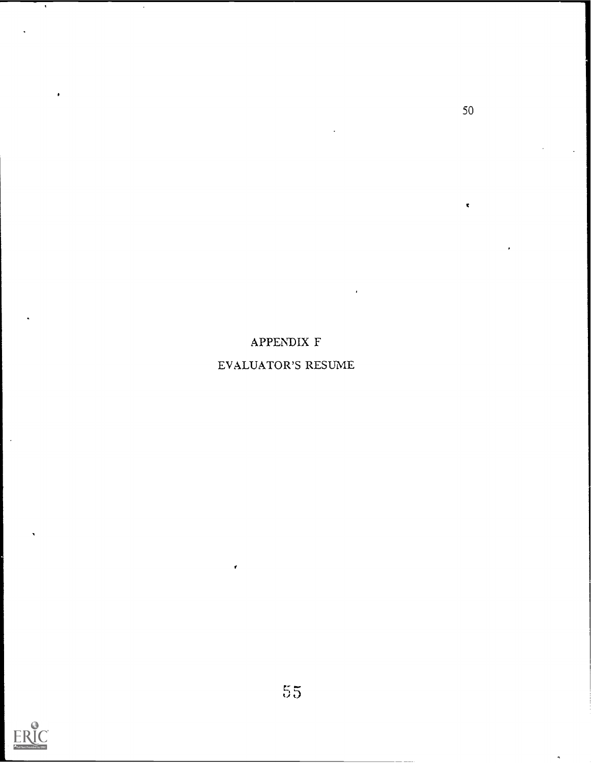# APPENDIX F

## EVALUATOR'S RESUME



 $\cdot$ 

 $\bar{\mathbf{t}}$ 

 $\cdot$ 

50

 $\dot{\mathbf{r}}$